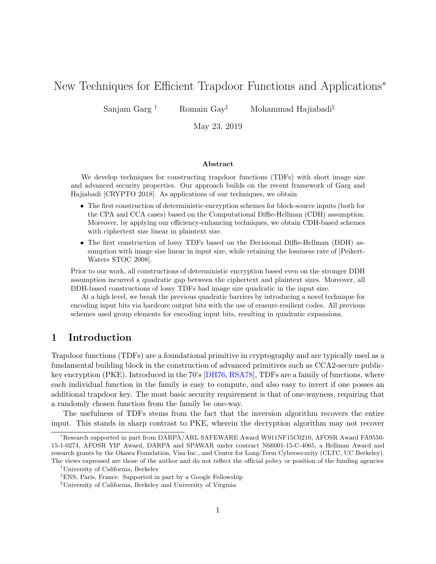# <span id="page-0-0"></span>New Techniques for Efficient Trapdoor Functions and Applications<sup>∗</sup>

Sanjam Garg † Romain Gay‡ Mohammad Hajiabadi§

May 23, 2019

#### Abstract

We develop techniques for constructing trapdoor functions (TDFs) with short image size and advanced security properties. Our approach builds on the recent framework of Garg and Hajiabadi [CRYPTO 2018]. As applications of our techniques, we obtain

- The first construction of deterministic-encryption schemes for block-source inputs (both for the CPA and CCA cases) based on the Computational Diffie-Hellman (CDH) assumption. Moreover, by applying our efficiency-enhancing techniques, we obtain CDH-based schemes with ciphertext size linear in plaintext size.
- The first construction of lossy TDFs based on the Decisional Diffie-Hellman (DDH) assumption with image size linear in input size, while retaining the lossiness rate of [Peikert-Waters STOC 2008].

Prior to our work, all constructions of deterministic encryption based even on the stronger DDH assumption incurred a quadratic gap between the ciphertext and plaintext sizes. Moreover, all DDH-based constructions of lossy TDFs had image size quadratic in the input size.

At a high level, we break the previous quadratic barriers by introducing a novel technique for encoding input bits via hardcore output bits with the use of erasure-resilient codes. All previous schemes used group elements for encoding input bits, resulting in quadratic expansions.

### 1 Introduction

Trapdoor functions (TDFs) are a foundational primitive in cryptography and are typically used as a fundamental building block in the construction of advanced primitives such as CCA2-secure publickey encryption (PKE). Introduced in the 70's [\[DH76,](#page-32-0) [RSA78\]](#page-33-0), TDFs are a family of functions, where each individual function in the family is easy to compute, and also easy to invert if one posses an additional trapdoor key. The most basic security requirement is that of one-wayness, requiring that a randomly chosen function from the family be one-way.

The usefulness of TDFs stems from the fact that the inversion algorithm recovers the entire input. This stands in sharp contrast to PKE, wherein the decryption algorithm may not recover

<sup>∗</sup>Research supported in part from DARPA/ARL SAFEWARE Award W911NF15C0210, AFOSR Award FA9550- 15-1-0274, AFOSR YIP Award, DARPA and SPAWAR under contract N66001-15-C-4065, a Hellman Award and research grants by the Okawa Foundation, Visa Inc., and Center for Long-Term Cybersecurity (CLTC, UC Berkeley). The views expressed are those of the author and do not reflect the official policy or position of the funding agencies

<sup>†</sup>University of California, Berkeley

<sup>‡</sup>ENS, Paris, France. Supported in part by a Google Fellowship

<sup>§</sup>University of California, Berkeley and University of Virginia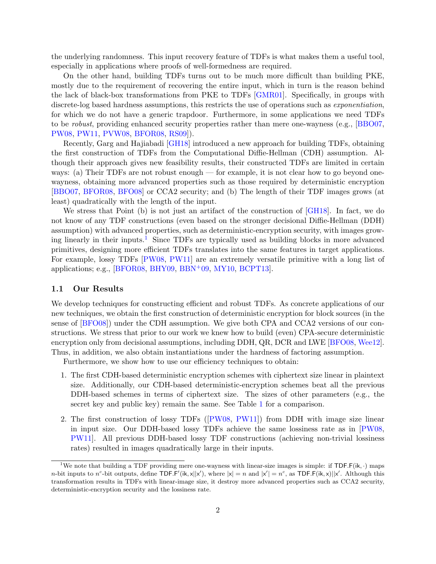<span id="page-1-1"></span>the underlying randomness. This input recovery feature of TDFs is what makes them a useful tool, especially in applications where proofs of well-formedness are required.

On the other hand, building TDFs turns out to be much more difficult than building PKE, mostly due to the requirement of recovering the entire input, which in turn is the reason behind the lack of black-box transformations from PKE to TDFs [\[GMR01\]](#page-32-1). Specifically, in groups with discrete-log based hardness assumptions, this restricts the use of operations such as *exponentiation*, for which we do not have a generic trapdoor. Furthermore, in some applications we need TDFs to be robust, providing enhanced security properties rather than mere one-wayness (e.g., [\[BBO07,](#page-31-0) [PW08,](#page-33-1) [PW11,](#page-33-2) [PVW08,](#page-33-3) [BFOR08,](#page-31-1) [RS09\]](#page-33-4)).

Recently, Garg and Hajiabadi [\[GH18\]](#page-32-2) introduced a new approach for building TDFs, obtaining the first construction of TDFs from the Computational Diffie-Hellman (CDH) assumption. Although their approach gives new feasibility results, their constructed TDFs are limited in certain ways: (a) Their TDFs are not robust enough — for example, it is not clear how to go beyond onewayness, obtaining more advanced properties such as those required by deterministic encryption [\[BBO07,](#page-31-0) [BFOR08,](#page-31-1) [BFO08\]](#page-31-2) or CCA2 security; and (b) The length of their TDF images grows (at least) quadratically with the length of the input.

We stress that Point (b) is not just an artifact of the construction of [\[GH18\]](#page-32-2). In fact, we do not know of any TDF constructions (even based on the stronger decisional Diffie-Hellman (DDH) assumption) with advanced properties, such as deterministic-encryption security, with images grow-ing linearly in their inputs.<sup>[1](#page-1-0)</sup> Since TDFs are typically used as building blocks in more advanced primitives, designing more efficient TDFs translates into the same features in target applications. For example, lossy TDFs [\[PW08,](#page-33-1) [PW11\]](#page-33-2) are an extremely versatile primitive with a long list of applications; e.g., [\[BFOR08,](#page-31-1) [BHY09,](#page-31-3) [BBN](#page-31-4)+09, [MY10,](#page-33-5) [BCPT13\]](#page-31-5).

#### 1.1 Our Results

We develop techniques for constructing efficient and robust TDFs. As concrete applications of our new techniques, we obtain the first construction of deterministic encryption for block sources (in the sense of [\[BFO08\]](#page-31-2)) under the CDH assumption. We give both CPA and CCA2 versions of our constructions. We stress that prior to our work we knew how to build (even) CPA-secure deterministic encryption only from decisional assumptions, including DDH, QR, DCR and LWE [\[BFO08,](#page-31-2) [Wee12\]](#page-33-6). Thus, in addition, we also obtain instantiations under the hardness of factoring assumption.

Furthermore, we show how to use our efficiency techniques to obtain:

- 1. The first CDH-based deterministic encryption schemes with ciphertext size linear in plaintext size. Additionally, our CDH-based deterministic-encryption schemes beat all the previous DDH-based schemes in terms of ciphertext size. The sizes of other parameters (e.g., the secret key and public key) remain the same. See Table [1](#page-2-0) for a comparison.
- 2. The first construction of lossy TDFs ([\[PW08,](#page-33-1) [PW11\]](#page-33-2)) from DDH with image size linear in input size. Our DDH-based lossy TDFs achieve the same lossiness rate as in [\[PW08,](#page-33-1) [PW11\]](#page-33-2). All previous DDH-based lossy TDF constructions (achieving non-trivial lossiness rates) resulted in images quadratically large in their inputs.

<span id="page-1-0"></span><sup>&</sup>lt;sup>1</sup>We note that building a TDF providing mere one-wayness with linear-size images is simple: if  $\text{TDF.F}(ik, \cdot)$  maps *n*-bit inputs to *n*<sup>c</sup>-bit outputs, define TDF.F'(ik, x||x'), where  $|x| = n$  and  $|x'| = n<sup>c</sup>$ , as TDF.F(ik, x)||x'. Although this transformation results in TDFs with linear-image size, it destroy more advanced properties such as CCA2 security, deterministic-encryption security and the lossiness rate.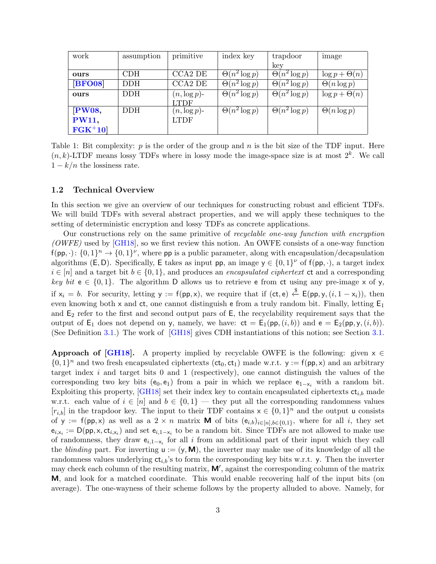<span id="page-2-1"></span><span id="page-2-0"></span>

| work          | assumption | primitive       | index key                       | trapdoor             | image                |
|---------------|------------|-----------------|---------------------------------|----------------------|----------------------|
|               |            |                 |                                 | key                  |                      |
| ours          | <b>CDH</b> | CCA2 DE         | $\overline{\Theta(n^2 \log p)}$ | $\Theta(n^2 \log p)$ | $\log p + \Theta(n)$ |
| <b>BFO08</b>  | <b>DDH</b> | CCA2 DE         | $\overline{\Theta(n^2 \log p)}$ | $\Theta(n^2 \log p)$ | $\Theta(n \log p)$   |
| ours          | <b>DDH</b> | $(n, \log p)$ - | $\Theta(n^2 \log p)$            | $\Theta(n^2 \log p)$ | $\log p + \Theta(n)$ |
|               |            | <b>TDF</b>      |                                 |                      |                      |
| PW08,         | <b>DDH</b> | $(n, \log p)$ - | $\Theta(n^2 \log p)$            | $\Theta(n^2 \log p)$ | $\Theta(n \log p)$   |
| <b>PW11,</b>  |            | <b>LTDF</b>     |                                 |                      |                      |
| $\bf FGK^+10$ |            |                 |                                 |                      |                      |

Table 1: Bit complexity:  $p$  is the order of the group and  $n$  is the bit size of the TDF input. Here  $(n, k)$ -LTDF means lossy TDFs where in lossy mode the image-space size is at most  $2<sup>k</sup>$ . We call  $1 - k/n$  the lossiness rate.

#### 1.2 Technical Overview

In this section we give an overview of our techniques for constructing robust and efficient TDFs. We will build TDFs with several abstract properties, and we will apply these techniques to the setting of deterministic encryption and lossy TDFs as concrete applications.

Our constructions rely on the same primitive of recyclable one-way function with encryption  $(OWFE)$  used by [\[GH18\]](#page-32-2), so we first review this notion. An OWFE consists of a one-way function  $f(pp, \cdot): \{0,1\}^n \to \{0,1\}^{\nu}$ , where pp is a public parameter, along with encapsulation/decapsulation algorithms (E, D). Specifically, E takes as input pp, an image  $y \in \{0,1\}^{\nu}$  of  $f(pp, \cdot)$ , a target index  $i \in [n]$  and a target bit  $b \in \{0, 1\}$ , and produces an *encapsulated ciphertext* ct and a corresponding key bit  $e \in \{0,1\}$ . The algorithm D allows us to retrieve e from ct using any pre-image x of y, if  $x_i = b$ . For security, letting  $y := f(p, x)$ , we require that if  $(ct, e) \stackrel{\$}{\leftarrow} E(p, y, (i, 1 - x_i))$ , then even knowing both x and  $ct$ , one cannot distinguish e from a truly random bit. Finally, letting  $E_1$ and  $E_2$  refer to the first and second output pars of  $E$ , the recyclability requirement says that the output of  $\mathsf{E}_1$  does not depend on y, namely, we have:  $\mathsf{ct} = \mathsf{E}_1(\mathsf{pp}, (i, b))$  and  $\mathsf{e} = \mathsf{E}_2(\mathsf{pp}, y, (i, b))$ . (See Definition [3.1.](#page-9-0)) The work of [\[GH18\]](#page-32-2) gives CDH instantiations of this notion; see Section [3.1.](#page-10-0)

**Approach of [\[GH18\]](#page-32-2).** A property implied by recyclable OWFE is the following: given  $x \in$  $\{0,1\}^n$  and two fresh encapsulated ciphertexts  $(ct_0, ct_1)$  made w.r.t.  $y := f(p, x)$  and an arbitrary target index  $i$  and target bits 0 and 1 (respectively), one cannot distinguish the values of the corresponding two key bits  $(e_0, e_1)$  from a pair in which we replace  $e_{1-x_i}$  with a random bit. Exploiting this property, [\[GH18\]](#page-32-2) set their index key to contain encapsulated ciphertexts  $ct_{i,b}$  made w.r.t. each value of  $i \in [n]$  and  $b \in \{0,1\}$  — they put all the corresponding randomness values  $[r_{i,b}]$  in the trapdoor key. The input to their TDF contains  $x \in \{0,1\}^n$  and the output u consists of y :=  $f(p, x)$  as well as a 2 × n matrix **M** of bits  $(e_{i,b})_{i \in [n], b \in \{0,1\}}$ , where for all i, they set  $e_{i,x_i} := \mathsf{D}(\mathsf{pp}, \mathsf{x}, \mathsf{ct}_{i,x_i})$  and set  $e_{i,1-x_i}$  to be a random bit. Since TDFs are not allowed to make use of randomness, they draw  $e_{i,1-x_i}$  for all i from an additional part of their input which they call the blinding part. For inverting  $u := (y, M)$ , the inverter may make use of its knowledge of all the randomness values underlying  $ct_{i,b}$ 's to form the corresponding key bits w.r.t. y. Then the inverter may check each column of the resulting matrix,  $M'$ , against the corresponding column of the matrix M, and look for a matched coordinate. This would enable recovering half of the input bits (on average). The one-wayness of their scheme follows by the property alluded to above. Namely, for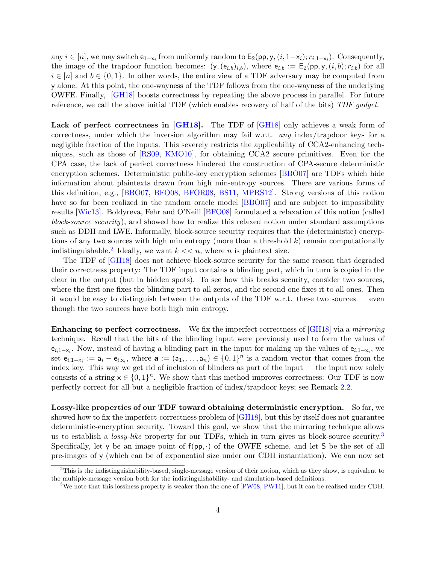<span id="page-3-2"></span>any  $i \in [n]$ , we may switch  $e_{1-x_i}$  from uniformly random to  $\mathsf{E}_2(\mathsf{pp}, \mathsf{y}, (i, 1-x_i); r_{i,1-x_i})$ . Consequently, the image of the trapdoor function becomes:  $(y, (e_{i,b})_{i,b})$ , where  $e_{i,b} := E_2(p, y, (i, b); r_{i,b})$  for all  $i \in [n]$  and  $b \in \{0,1\}$ . In other words, the entire view of a TDF adversary may be computed from y alone. At this point, the one-wayness of the TDF follows from the one-wayness of the underlying OWFE. Finally, [\[GH18\]](#page-32-2) boosts correctness by repeating the above process in parallel. For future reference, we call the above initial TDF (which enables recovery of half of the bits) TDF gadget.

Lack of perfect correctness in [\[GH18\]](#page-32-2). The TDF of [GH18] only achieves a weak form of correctness, under which the inversion algorithm may fail w.r.t. any index/trapdoor keys for a negligible fraction of the inputs. This severely restricts the applicability of CCA2-enhancing techniques, such as those of [\[RS09,](#page-33-4) [KMO10\]](#page-33-7), for obtaining CCA2 secure primitives. Even for the CPA case, the lack of perfect correctness hindered the construction of CPA-secure deterministic encryption schemes. Deterministic public-key encryption schemes [\[BBO07\]](#page-31-0) are TDFs which hide information about plaintexts drawn from high min-entropy sources. There are various forms of this definition, e.g., [\[BBO07,](#page-31-0) [BFO08,](#page-31-2) [BFOR08,](#page-31-1) [BS11,](#page-31-6) [MPRS12\]](#page-33-8). Strong versions of this notion have so far been realized in the random oracle model [\[BBO07\]](#page-31-0) and are subject to impossibility results [\[Wic13\]](#page-33-9). Boldyreva, Fehr and O'Neill [\[BFO08\]](#page-31-2) formulated a relaxation of this notion (called block-source security), and showed how to realize this relaxed notion under standard assumptions such as DDH and LWE. Informally, block-source security requires that the (deterministic) encryptions of any two sources with high min entropy (more than a threshold  $k$ ) remain computationally indistinguishable.<sup>[2](#page-3-0)</sup> Ideally, we want  $k \ll n$ , where *n* is plaintext size.

The TDF of [\[GH18\]](#page-32-2) does not achieve block-source security for the same reason that degraded their correctness property: The TDF input contains a blinding part, which in turn is copied in the clear in the output (but in hidden spots). To see how this breaks security, consider two sources, where the first one fixes the blinding part to all zeros, and the second one fixes it to all ones. Then it would be easy to distinguish between the outputs of the TDF w.r.t. these two sources — even though the two sources have both high min entropy.

Enhancing to perfect correctness. We fix the imperfect correctness of [\[GH18\]](#page-32-2) via a mirroring technique. Recall that the bits of the blinding input were previously used to form the values of  $e_{i,1-x_i}$ . Now, instead of having a blinding part in the input for making up the values of  $e_{i,1-x_i}$ , we set  $e_{i,1-x_i} := a_i - e_{i,x_i}$ , where  $\mathbf{a} := (a_1, \ldots, a_n) \in \{0,1\}^n$  is a random vector that comes from the index key. This way we get rid of inclusion of blinders as part of the input — the input now solely consists of a string  $x \in \{0,1\}^n$ . We show that this method improves correctness: Our TDF is now perfectly correct for all but a negligible fraction of index/trapdoor keys; see Remark [2.2.](#page-8-0)

Lossy-like properties of our TDF toward obtaining deterministic encryption. So far, we showed how to fix the imperfect-correctness problem of [\[GH18\]](#page-32-2), but this by itself does not guarantee deterministic-encryption security. Toward this goal, we show that the mirroring technique allows us to establish a *lossy-like* property for our TDFs, which in turn gives us block-source security.<sup>[3](#page-3-1)</sup> Specifically, let y be an image point of  $f(p, \cdot)$  of the OWFE scheme, and let S be the set of all pre-images of y (which can be of exponential size under our CDH instantiation). We can now set

<span id="page-3-0"></span> $2$ This is the indistinguishability-based, single-message version of their notion, which as they show, is equivalent to the multiple-message version both for the indistinguishability- and simulation-based definitions.

<span id="page-3-1"></span><sup>&</sup>lt;sup>3</sup>We note that this lossiness property is weaker than the one of  $[PW08, PW11]$  $[PW08, PW11]$  $[PW08, PW11]$ , but it can be realized under CDH.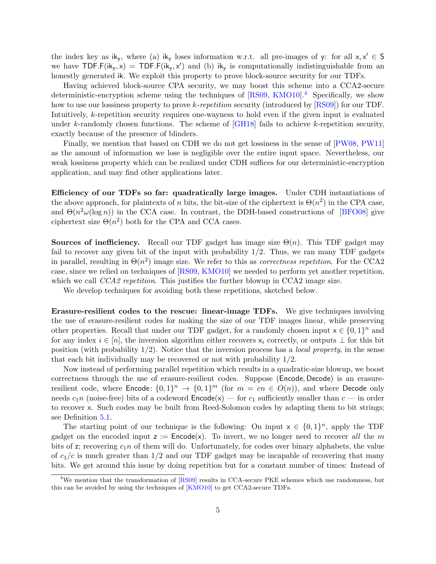<span id="page-4-1"></span>the index key as  $ik_y$ , where (a)  $ik_y$  loses information w.r.t. all pre-images of y: for all  $x, x' \in S$ we have TDF.F( $ik_y, x$ ) = TDF.F( $ik_y, x'$ ) and (b)  $ik_y$  is computationally indistinguishable from an honestly generated ik. We exploit this property to prove block-source security for our TDFs.

Having achieved block-source CPA security, we may boost this scheme into a CCA2-secure deterministic-encryption scheme using the techniques of  $[RS09, KMO10]$  $[RS09, KMO10]$  $[RS09, KMO10]$ <sup>[4](#page-4-0)</sup> Specifically, we show how to use our lossiness property to prove k-repetition security (introduced by [\[RS09\]](#page-33-4)) for our TDF. Intuitively, k-repetition security requires one-wayness to hold even if the given input is evaluated under k-randomly chosen functions. The scheme of  $\lceil$ GH18 $\rceil$  fails to achieve k-repetition security, exactly because of the presence of blinders.

Finally, we mention that based on CDH we do not get lossiness in the sense of [\[PW08,](#page-33-1) [PW11\]](#page-33-2) as the amount of information we lose is negligible over the entire input space. Nevertheless, our weak lossiness property which can be realized under CDH suffices for our deterministic-encryption application, and may find other applications later.

Efficiency of our TDFs so far: quadratically large images. Under CDH instantiations of the above approach, for plaintexts of n bits, the bit-size of the ciphertext is  $\Theta(n^2)$  in the CPA case, and  $\Theta(n^2\omega(\log n))$  in the CCA case. In contrast, the DDH-based constructions of [\[BFO08\]](#page-31-2) give ciphertext size  $\Theta(n^2)$  both for the CPA and CCA cases.

**Sources of inefficiency.** Recall our TDF gadget has image size  $\Theta(n)$ . This TDF gadget may fail to recover any given bit of the input with probability  $1/2$ . Thus, we ran many TDF gadgets in parallel, resulting in  $\Theta(n^2)$  image size. We refer to this as *correctness repetition*. For the CCA2 case, since we relied on techniques of [\[RS09,](#page-33-4) [KMO10\]](#page-33-7) we needed to perform yet another repetition, which we call *CCA2 repetition*. This justifies the further blowup in CCA2 image size.

We develop techniques for avoiding both these repetitions, sketched below.

Erasure-resilient codes to the rescue: linear-image TDFs. We give techniques involving the use of erasure-resilient codes for making the size of our TDF images linear, while preserving other properties. Recall that under our TDF gadget, for a randomly chosen input  $x \in \{0,1\}^n$  and for any index  $i \in [n]$ , the inversion algorithm either recovers  $x_i$  correctly, or outputs  $\bot$  for this bit position (with probability  $1/2$ ). Notice that the inversion process has a *local property*, in the sense that each bit individually may be recovered or not with probability 1/2.

Now instead of performing parallel repetition which results in a quadratic-size blowup, we boost correctness through the use of erasure-resilient codes. Suppose (Encode, Decode) is an erasureresilient code, where Encode:  $\{0,1\}^n \rightarrow \{0,1\}^m$  (for  $m = cn \in O(n)$ ), and where Decode only needs  $c_1n$  (noise-free) bits of a codeword  $\mathsf{Encode}(x)$  — for  $c_1$  sufficiently smaller than  $c$  — in order to recover x. Such codes may be built from Reed-Solomon codes by adapting them to bit strings; see Definition [5.1.](#page-15-0)

The starting point of our technique is the following: On input  $x \in \{0,1\}^n$ , apply the TDF gadget on the encoded input  $z :=$  Encode(x). To invert, we no longer need to recover all the m bits of z; recovering  $c_1n$  of them will do. Unfortunately, for codes over binary alphabets, the value of  $c_1/c$  is much greater than  $1/2$  and our TDF gadget may be incapable of recovering that many bits. We get around this issue by doing repetition but for a constant number of times: Instead of

<span id="page-4-0"></span><sup>&</sup>lt;sup>4</sup>We mention that the transformation of [\[RS09\]](#page-33-4) results in CCA-secure PKE schemes which use randomness, but this can be avoided by using the techniques of [\[KMO10\]](#page-33-7) to get CCA2-secure TDFs.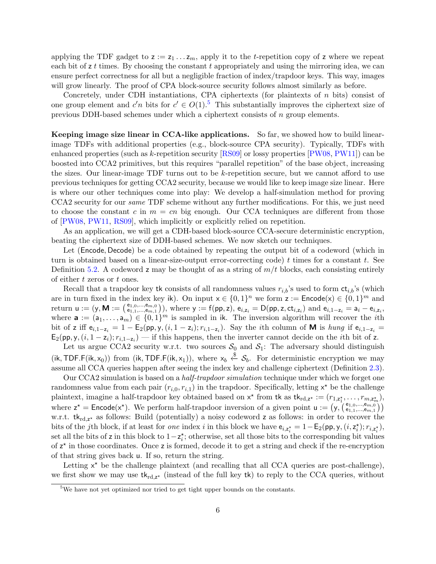<span id="page-5-1"></span>applying the TDF gadget to  $z := z_1 \dots z_m$ , apply it to the *t*-repetition copy of z where we repeat each bit of  $z t$  times. By choosing the constant  $t$  appropriately and using the mirroring idea, we can ensure perfect correctness for all but a negligible fraction of index/trapdoor keys. This way, images will grow linearly. The proof of CPA block-source security follows almost similarly as before.

Concretely, under CDH instantiations, CPA ciphertexts (for plaintexts of n bits) consist of one group element and  $c'n$  bits for  $c' \in O(1)$ .<sup>[5](#page-5-0)</sup> This substantially improves the ciphertext size of previous DDH-based schemes under which a ciphertext consists of n group elements.

Keeping image size linear in CCA-like applications. So far, we showed how to build linearimage TDFs with additional properties (e.g., block-source CPA security). Typically, TDFs with enhanced properties (such as k-repetition security [\[RS09\]](#page-33-4) or lossy properties [\[PW08,](#page-33-1) [PW11\]](#page-33-2)) can be boosted into CCA2 primitives, but this requires "parallel repetition" of the base object, increasing the sizes. Our linear-image TDF turns out to be k-repetition secure, but we cannot afford to use previous techniques for getting CCA2 security, because we would like to keep image size linear. Here is where our other techniques come into play: We develop a half-simulation method for proving CCA2 security for our same TDF scheme without any further modifications. For this, we just need to choose the constant c in  $m = cn$  big enough. Our CCA techniques are different from those of [\[PW08,](#page-33-1) [PW11,](#page-33-2) [RS09\]](#page-33-4), which implicitly or explicitly relied on repetition.

As an application, we will get a CDH-based block-source CCA-secure deterministic encryption, beating the ciphertext size of DDH-based schemes. We now sketch our techniques.

Let (Encode, Decode) be a code obtained by repeating the output bit of a codeword (which in turn is obtained based on a linear-size-output error-correcting code)  $t$  times for a constant  $t$ . See Definition [5.2.](#page-16-0) A codeword z may be thought of as a string of  $m/t$  blocks, each consisting entirely of either t zeros or t ones.

Recall that a trapdoor key tk consists of all randomness values  $r_{i,b}$ 's used to form  $ct_{i,b}$ 's (which are in turn fixed in the index key ik). On input  $x \in \{0,1\}^n$  we form  $z :=$  Encode $(x) \in \{0,1\}^m$  and return  $u := (y, M := \begin{pmatrix} e_{1,0},...,e_{m,0} \\ e_{1,1},...,e_{m,1} \end{pmatrix})$ , where  $y := f(pp,z)$ ,  $e_{i,z_i} = D(pp,z,ct_{i,z_i})$  and  $e_{i,1-z_i} = a_i - e_{i,z_i}$ , where  $\mathbf{a} := (a_1, \ldots, a_m) \in \{0,1\}^m$  is sampled in ik. The inversion algorithm will recover the *i*th bit of z iff  $e_{i,1-z_i} = 1 - \mathsf{E}_2(\mathsf{pp}, \mathsf{y}, (i, 1-z_i); r_{i,1-z_i})$ . Say the *i*th column of **M** is *hung* if  $e_{i,1-z_i} =$  $\mathsf{E}_2(\mathsf{pp}, \mathsf{y}, (i, 1-\mathsf{z}_i); r_{i,1-\mathsf{z}_i})$  — if this happens, then the inverter cannot decide on the *i*th bit of z.

Let us argue CCA2 security w.r.t. two sources  $S_0$  and  $S_1$ : The adversary should distinguish (ik, TDF.F(ik, x<sub>0</sub>)) from (ik, TDF.F(ik, x<sub>1</sub>)), where  $x_b \stackrel{\$}{\leftarrow} S_b$ . For deterministic encryption we may assume all CCA queries happen after seeing the index key and challenge ciphertext (Definition [2.3\)](#page-8-1).

Our CCA2 simulation is based on a half-trapdoor simulation technique under which we forget one randomness value from each pair  $(r_{i,0}, r_{i,1})$  in the trapdoor. Specifically, letting  $x^*$  be the challenge plaintext, imagine a half-trapdoor key obtained based on  $x^*$  from tk as  $tk_{rd,z^*} := (r_{1,z_1^*}, \ldots, r_{m,z_m^*}),$ where  $z^* =$  Encode(x<sup>\*</sup>). We perform half-trapdoor inversion of a given point  $u := (y, \begin{pmatrix} e_{1,0},...,e_{m,0} \\ e_{1,1},...,e_{m,1} \end{pmatrix})$ w.r.t.  $tk_{rd,z^*}$  as follows: Build (potentially) a noisy codeword z as follows: in order to recover the bits of the jth block, if at least for *one* index i in this block we have  $e_{i,z_i^*} = 1 - E_2(pp, y, (i, z_i^*); r_{i,z_i^*}),$ set all the bits of z in this block to  $1-z_i^*$ ; otherwise, set all those bits to the corresponding bit values of  $z^*$  in those coordinates. Once z is formed, decode it to get a string and check if the re-encryption of that string gives back u. If so, return the string.

Letting  $x^*$  be the challenge plaintext (and recalling that all CCA queries are post-challenge), we first show we may use  $tk_{\text{rd},z^*}$  (instead of the full key  $tk$ ) to reply to the CCA queries, without

<span id="page-5-0"></span><sup>&</sup>lt;sup>5</sup>We have not yet optimized nor tried to get tight upper bounds on the constants.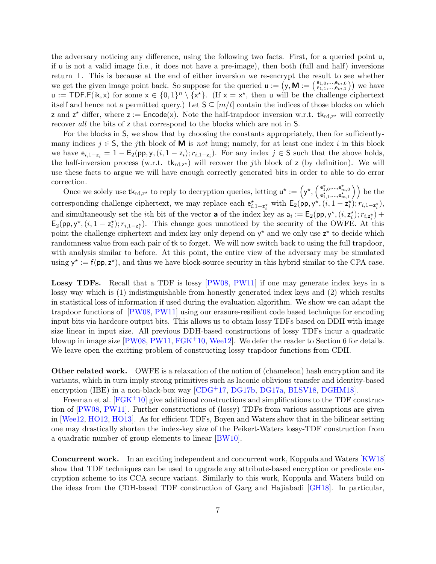<span id="page-6-0"></span>the adversary noticing any difference, using the following two facts. First, for a queried point u, if u is not a valid image (i.e., it does not have a pre-image), then both (full and half) inversions return ⊥. This is because at the end of either inversion we re-encrypt the result to see whether we get the given image point back. So suppose for the queried  $u := (y, M) = (\epsilon_{1,1,\dots,\epsilon_{m,1}}^{e_{1,0},\dots,e_{m,0}})$  we have  $u := \textsf{TOP.F}(\mathsf{ik}, x)$  for some  $x \in \{0,1\}^n \setminus \{x^*\}.$  (If  $x = x^*$ , then u will be the challenge ciphertext itself and hence not a permitted query.) Let  $S \subseteq [m/t]$  contain the indices of those blocks on which z and  $z^*$  differ, where  $z :=$  Encode(x). Note the half-trapdoor inversion w.r.t.  $tk_{rd,z^*}$  will correctly recover all the bits of z that correspond to the blocks which are not in S.

For the blocks in S, we show that by choosing the constants appropriately, then for sufficientlymany indices  $j \in S$ , the jth block of **M** is not hung; namely, for at least one index i in this block we have  $e_{i,1-z_i} = 1 - \mathsf{E}_2(\mathsf{pp}, \mathsf{y}, (i, 1-z_i); r_{i,1-z_i})$ . For any index  $j \in \mathsf{S}$  such that the above holds, the half-inversion process (w.r.t.  $tk_{rd,z^*}$ ) will recover the *j*th block of z (by definition). We will use these facts to argue we will have enough correctly generated bits in order to able to do error correction.

Once we solely use  $tk_{rd,z^*}$  to reply to decryption queries, letting  $u^* := \left(y^*, \left(\begin{matrix} e_{1,0}^*, \ldots, e_{m,0}^* \\ e_{1,1}^*, \ldots, e_{m,1}^* \end{matrix}\right)\right)$  be the corresponding challenge ciphertext, we may replace each  $e_{i,1-z_i^*}^*$  with  $E_2(pp, y^*, (i, 1-z_i^*); r_{i,1-z_i^*})$ , and simultaneously set the *i*th bit of the vector **a** of the index key as  $a_i := E_2(pp, y^*, (i, z_i^*); r_{i, z_i^*}) +$  $\mathsf{E}_2(pp, y^\star, (i, 1 - z_i^\star); r_{i,1-z_i^\star})$ . This change goes unnoticed by the security of the OWFE. At this point the challenge ciphertext and index key only depend on  $y^*$  and we only use  $z^*$  to decide which randomness value from each pair of tk to forget. We will now switch back to using the full trapdoor, with analysis similar to before. At this point, the entire view of the adversary may be simulated using  $y^* := f(p, z^*)$ , and thus we have block-source security in this hybrid similar to the CPA case.

Lossy TDFs. Recall that a TDF is lossy [\[PW08,](#page-33-1) [PW11\]](#page-33-2) if one may generate index keys in a lossy way which is (1) indistinguishable from honestly generated index keys and (2) which results in statistical loss of information if used during the evaluation algorithm. We show we can adapt the trapdoor functions of [\[PW08,](#page-33-1) [PW11\]](#page-33-2) using our erasure-resilient code based technique for encoding input bits via hardcore output bits. This allows us to obtain lossy TDFs based on DDH with image size linear in input size. All previous DDH-based constructions of lossy TDFs incur a quadratic blowup in image size  $[PW08, PW11, FGK<sup>+</sup>10, Wee12]$  $[PW08, PW11, FGK<sup>+</sup>10, Wee12]$  $[PW08, PW11, FGK<sup>+</sup>10, Wee12]$  $[PW08, PW11, FGK<sup>+</sup>10, Wee12]$  $[PW08, PW11, FGK<sup>+</sup>10, Wee12]$  $[PW08, PW11, FGK<sup>+</sup>10, Wee12]$  $[PW08, PW11, FGK<sup>+</sup>10, Wee12]$ . We defer the reader to Section 6 for details. We leave open the exciting problem of constructing lossy trapdoor functions from CDH.

Other related work. OWFE is a relaxation of the notion of (chameleon) hash encryption and its variants, which in turn imply strong primitives such as laconic oblivious transfer and identity-based encryption (IBE) in a non-black-box way [\[CDG](#page-32-4)<sup>+</sup>17, [DG17b,](#page-32-5) [DG17a,](#page-32-6) [BLSV18,](#page-31-7) [DGHM18\]](#page-32-7).

Freeman et al.  $[FGK^+10]$  $[FGK^+10]$  give additional constructions and simplifications to the TDF construction of [\[PW08,](#page-33-1) [PW11\]](#page-33-2). Further constructions of (lossy) TDFs from various assumptions are given in [\[Wee12,](#page-33-6) [HO12,](#page-32-8) [HO13\]](#page-32-9). As for efficient TDFs, Boyen and Waters show that in the bilinear setting one may drastically shorten the index-key size of the Peikert-Waters lossy-TDF construction from a quadratic number of group elements to linear [\[BW10\]](#page-32-10).

Concurrent work. In an exciting independent and concurrent work, Koppula and Waters [\[KW18\]](#page-33-10) show that TDF techniques can be used to upgrade any attribute-based encryption or predicate encryption scheme to its CCA secure variant. Similarly to this work, Koppula and Waters build on the ideas from the CDH-based TDF construction of Garg and Hajiabadi [\[GH18\]](#page-32-2). In particular,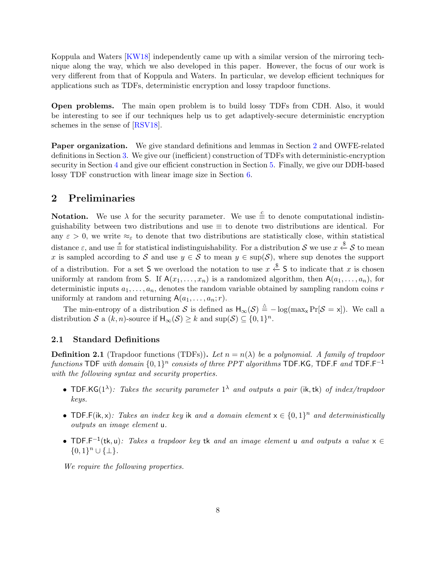<span id="page-7-2"></span>Koppula and Waters [\[KW18\]](#page-33-10) independently came up with a similar version of the mirroring technique along the way, which we also developed in this paper. However, the focus of our work is very different from that of Koppula and Waters. In particular, we develop efficient techniques for applications such as TDFs, deterministic encryption and lossy trapdoor functions.

Open problems. The main open problem is to build lossy TDFs from CDH. Also, it would be interesting to see if our techniques help us to get adaptively-secure deterministic encryption schemes in the sense of [\[RSV18\]](#page-33-11).

Paper organization. We give standard definitions and lemmas in Section [2](#page-7-0) and OWFE-related definitions in Section [3.](#page-9-1) We give our (inefficient) construction of TDFs with deterministic-encryption security in Section [4](#page-11-0) and give our efficient construction in Section [5.](#page-15-1) Finally, we give our DDH-based lossy TDF construction with linear image size in Section [6.](#page-27-0)

### <span id="page-7-0"></span>2 Preliminaries

**Notation.** We use  $\lambda$  for the security parameter. We use  $\stackrel{c}{\equiv}$  to denote computational indistinguishability between two distributions and use  $\equiv$  to denote two distributions are identical. For any  $\varepsilon > 0$ , we write  $\approx_{\varepsilon}$  to denote that two distributions are statistically close, within statistical distance  $\varepsilon$ , and use  $\stackrel{s}{\equiv}$  for statistical indistinguishability. For a distribution S we use  $x \stackrel{\$}{\leftarrow} S$  to mean x is sampled according to S and use  $y \in S$  to mean  $y \in \text{sup}(S)$ , where sup denotes the support of a distribution. For a set S we overload the notation to use  $x \stackrel{\$}{\leftarrow} S$  to indicate that x is chosen uniformly at random from S. If  $A(x_1, \ldots, x_n)$  is a randomized algorithm, then  $A(a_1, \ldots, a_n)$ , for deterministic inputs  $a_1, \ldots, a_n$ , denotes the random variable obtained by sampling random coins r uniformly at random and returning  $A(a_1, \ldots, a_n; r)$ .

The min-entropy of a distribution S is defined as  $H_{\infty}(S) \triangleq -\log(\max_{x} \Pr[S=x])$ . We call a distribution S a  $(k, n)$ -source if  $H_{\infty}(S) \geq k$  and  $\sup(S) \subseteq \{0, 1\}^n$ .

#### 2.1 Standard Definitions

<span id="page-7-1"></span>**Definition 2.1** (Trapdoor functions (TDFs)). Let  $n = n(\lambda)$  be a polynomial. A family of trapdoor functions TDF with domain  $\{0,1\}^n$  consists of three PPT algorithms TDF.KG, TDF.F and TDF.F<sup>-1</sup> with the following syntax and security properties.

- TDF.KG(1<sup> $\lambda$ </sup>): Takes the security parameter 1<sup> $\lambda$ </sup> and outputs a pair (ik, tk) of index/trapdoor keys.
- TDF.F(ik, x): Takes an index key ik and a domain element  $x \in \{0,1\}^n$  and deterministically outputs an image element u.
- TDF.F<sup>-1</sup>(tk, u): Takes a trapdoor key tk and an image element u and outputs a value  $x \in$  ${0,1}^n \cup {\{\perp\}}.$

We require the following properties.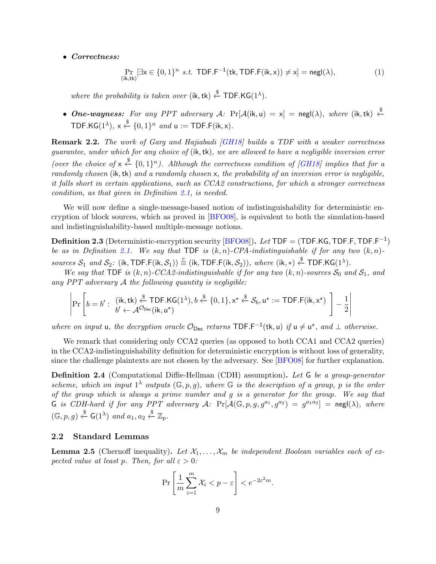#### <span id="page-8-3"></span>• Correctness:

$$
\Pr_{(\mathbf{i}\mathbf{k},\mathbf{tk})}[\exists \mathbf{x} \in \{0,1\}^n \text{ s.t. } \mathsf{TDF.F}^{-1}(\mathsf{tk}, \mathsf{TDF.F}(\mathsf{ik}, \mathbf{x})) \neq \mathbf{x}] = \mathsf{negl}(\lambda),\tag{1}
$$

where the probability is taken over  $(ik, tk) \stackrel{\$}{\leftarrow} \textsf{TDF.KG}(1^{\lambda}).$ 

• One-wayness: For any PPT adversary  $A$ : Pr[ $A$ (ik, u) = x] = negl( $\lambda$ ), where (ik, tk)  $\stackrel{\$}{\leftarrow}$ TDF.KG( $1^{\lambda}$ ),  $x \stackrel{\$}{\leftarrow} \{0,1\}^n$  and  $u := \textsf{TDF.F}(ik, x)$ .

<span id="page-8-0"></span>Remark 2.2. The work of Garg and Hajiabadi (GH18) builds a TDF with a weaker correctness guarantee, under which for any choice of (ik,tk), we are allowed to have a negligible inversion error (over the choice of  $x \stackrel{\$}{\leftarrow} \{0,1\}^n$ ). Although the correctness condition of [\[GH18\]](#page-32-2) implies that for a randomly chosen (ik, tk) and a randomly chosen x, the probability of an inversion error is negligible, it falls short in certain applications, such as CCA2 constructions, for which a stronger correctness condition, as that given in Definition [2.1,](#page-7-1) is needed.

We will now define a single-message-based notion of indistinguishability for deterministic encryption of block sources, which as proved in [\[BFO08\]](#page-31-2), is equivalent to both the simulation-based and indistinguishability-based multiple-message notions.

<span id="page-8-1"></span>**Definition 2.3** (Deterministic-encryption security  $\overline{BFO08}$ ). Let TDF = (TDF.KG, TDF.F, TDF.F<sup>-1</sup>) be as in Definition [2.1.](#page-7-1) We say that TDF is  $(k, n)$ -CPA-indistinguishable if for any two  $(k, n)$ sources  $S_1$  and  $S_2$ : (ik, TDF.F(ik,  $S_1$ ))  $\stackrel{c}{=}$  (ik, TDF.F(ik,  $S_2$ )), where (ik, \*)  $\stackrel{\$}{\leftarrow}$  TDF.KG(1<sup> $\lambda$ </sup>).

We say that TDF is  $(k, n)$ -CCA2-indistinguishable if for any two  $(k, n)$ -sources  $S_0$  and  $S_1$ , and any  $PPT$  adversary  $A$  the following quantity is negligible:

$$
\left|\Pr\left[b=b': \begin{array}{l} (\mathsf{i}\mathsf{k},\mathsf{t}\mathsf{k}) \stackrel{\$}{\leftarrow} \mathsf{TDF}.\mathsf{KG}(1^{\lambda}), b \stackrel{\$}{\leftarrow} \{0,1\}, \mathsf{x}^{\star} \stackrel{\$}{\leftarrow} \mathcal{S}_b, \mathsf{u}^{\star} := \mathsf{TDF}.\mathsf{F}(\mathsf{i}\mathsf{k},\mathsf{x}^{\star})\\ b' \leftarrow \mathcal{A}^{\mathcal{O}_{\text{Dec}}}(\mathsf{i}\mathsf{k},\mathsf{u}^{\star}) \end{array}\right]-\frac{1}{2}\right|\right|\right|
$$

where on input u, the decryption oracle  $\mathcal{O}_{Dec}$  returns  $TDF.F^{-1}(tk, u)$  if  $u \neq u^*$ , and  $\perp$  otherwise.

We remark that considering only CCA2 queries (as opposed to both CCA1 and CCA2 queries) in the CCA2-indistinguishability definition for deterministic encryption is without loss of generality, since the challenge plaintexts are not chosen by the adversary. See [\[BFO08\]](#page-31-2) for further explanation.

Definition 2.4 (Computational Diffie-Hellman (CDH) assumption). Let G be a group-generator scheme, which on input  $1^{\lambda}$  outputs  $(\mathbb{G}, p, g)$ , where  $\mathbb{G}$  is the description of a group, p is the order of the group which is always a prime number and g is a generator for the group. We say that G is CDH-hard if for any PPT adversary A:  $Pr[A(\mathbb{G},p,g,g^{a_1},g^{a_2}) = g^{a_1a_2}] = negl(\lambda)$ , where  $(\mathbb{G}, p, g) \stackrel{\$}{\leftarrow} \mathsf{G}(1^{\lambda})$  and  $a_1, a_2 \stackrel{\$}{\leftarrow} \mathbb{Z}_p$ .

### 2.2 Standard Lemmas

<span id="page-8-2"></span>**Lemma 2.5** (Chernoff inequality). Let  $\mathcal{X}_1, \ldots, \mathcal{X}_m$  be independent Boolean variables each of expected value at least p. Then, for all  $\varepsilon > 0$ :

$$
\Pr\left[\frac{1}{m}\sum_{i=1}^m \mathcal{X}_i < p - \varepsilon\right] < e^{-2\varepsilon^2 m}.
$$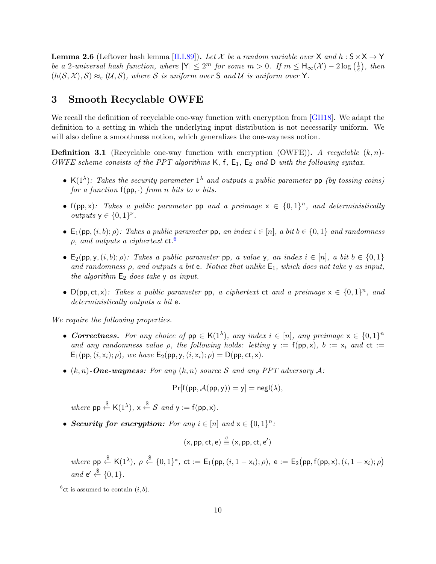<span id="page-9-4"></span><span id="page-9-3"></span>**Lemma 2.6** (Leftover hash lemma [\[ILL89\]](#page-32-11)). Let X be a random variable over X and h :  $S \times X \rightarrow Y$ be a 2-universal hash function, where  $|Y| \le 2^m$  for some  $m > 0$ . If  $m \le H_{\infty}(\mathcal{X}) - 2 \log \left( \frac{1}{\varepsilon} \right)$  $(\frac{1}{\varepsilon})$ , then  $(h(S, \mathcal{X}), S) \approx_{\varepsilon} (\mathcal{U}, S)$ , where S is uniform over S and U is uniform over Y.

## <span id="page-9-1"></span>3 Smooth Recyclable OWFE

We recall the definition of recyclable one-way function with encryption from [\[GH18\]](#page-32-2). We adapt the definition to a setting in which the underlying input distribution is not necessarily uniform. We will also define a smoothness notion, which generalizes the one-wayness notion.

<span id="page-9-0"></span>**Definition 3.1** (Recyclable one-way function with encryption (OWFE)). A recyclable  $(k, n)$ -OWFE scheme consists of the PPT algorithms  $K$ ,  $f$ ,  $E_1$ ,  $E_2$  and D with the following syntax.

- K(1<sup> $\lambda$ </sup>): Takes the security parameter 1<sup> $\lambda$ </sup> and outputs a public parameter pp (by tossing coins) for a function  $f(pp, \cdot)$  from n bits to  $\nu$  bits.
- f(pp,x): Takes a public parameter pp and a preimage  $x \in \{0,1\}^n$ , and deterministically *outputs*  $y \in \{0, 1\}^{\nu}$ .
- $\mathsf{E}_1(\mathsf{pp},(i,b); \rho)$ : Takes a public parameter pp, an index  $i \in [n]$ , a bit  $b \in \{0,1\}$  and randomness  $\rho$ , and outputs a ciphertext  $ct.^6$  $ct.^6$
- $E_2(pp, y, (i, b); \rho)$ : Takes a public parameter pp, a value y, an index  $i \in [n]$ , a bit  $b \in \{0, 1\}$ and randomness  $\rho$ , and outputs a bit e. Notice that unlike  $E_1$ , which does not take  $\gamma$  as input, the algorithm  $E_2$  does take  $\gamma$  as input.
- D(pp, ct, x): Takes a public parameter pp, a ciphertext ct and a preimage  $x \in \{0,1\}^n$ , and deterministically outputs a bit e.

We require the following properties.

- Correctness. For any choice of  $pp \in K(1^{\lambda})$ , any index  $i \in [n]$ , any preimage  $x \in \{0,1\}^n$ and any randomness value  $\rho$ , the following holds: letting  $y := f(p, x)$ ,  $b := x_i$  and  $ct :=$  $E_1(p, (i, x_i); \rho)$ , we have  $E_2(p, y, (i, x_i); \rho) = D(p, ct, x)$ .
- $(k, n)$ -One-wayness: For any  $(k, n)$  source S and any PPT adversary A:

$$
\Pr[f(pp, \mathcal{A}(pp, y)) = y] = \mathsf{negl}(\lambda),
$$

where  $pp \stackrel{\$}{\leftarrow} K(1^{\lambda}), x \stackrel{\$}{\leftarrow} S$  and  $y := f(pp, x)$ .

• Security for encryption: For any  $i \in [n]$  and  $x \in \{0,1\}^n$ :

$$
(x, pp, ct, e) \stackrel{c}{\equiv} (x, pp, ct, e')
$$

where  $pp \stackrel{\$}{\leftarrow} K(1^{\lambda}), \rho \stackrel{\$}{\leftarrow} \{0,1\}^*,$  ct :=  $E_1(pp, (i, 1 - x_i); \rho),$  e :=  $E_2(pp, f(pp, x), (i, 1 - x_i); \rho)$ and  $e' \stackrel{\$}{\leftarrow} \{0,1\}.$ 

<span id="page-9-2"></span><sup>&</sup>lt;sup>6</sup>ct is assumed to contain  $(i, b)$ .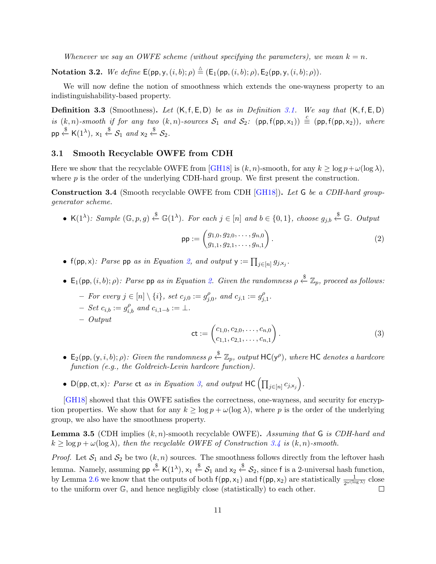<span id="page-10-6"></span>Whenever we say an OWFE scheme (without specifying the parameters), we mean  $k = n$ .

**Notation 3.2.** We define  $\mathsf{E}(pp, y, (i, b); \rho) \triangleq (\mathsf{E}_1(pp, (i, b); \rho), \mathsf{E}_2(pp, y, (i, b); \rho)).$ 

We will now define the notion of smoothness which extends the one-wayness property to an indistinguishability-based property.

<span id="page-10-4"></span>**Definition 3.3** (Smoothness). Let  $(K, f, E, D)$  be as in Definition [3.1.](#page-9-0) We say that  $(K, f, E, D)$ is  $(k, n)$ -smooth if for any two  $(k, n)$ -sources  $S_1$  and  $S_2$ :  $(pp, f(pp, x_1)) \equiv (pp, f(pp, x_2))$ , where  $\mathsf{pp} \stackrel{\$}{\leftarrow} \mathsf{K}(1^{\lambda}), \, \mathsf{x}_1 \stackrel{\$}{\leftarrow} \mathcal{S}_1 \, \text{ and } \mathsf{x}_2 \stackrel{\$}{\leftarrow} \mathcal{S}_2.$ 

#### <span id="page-10-0"></span>3.1 Smooth Recyclable OWFE from CDH

Here we show that the recyclable OWFE from [\[GH18\]](#page-32-2) is  $(k, n)$ -smooth, for any  $k \ge \log p + \omega(\log \lambda)$ , where  $p$  is the order of the underlying CDH-hard group. We first present the construction.

<span id="page-10-3"></span>Construction 3.4 (Smooth recyclable OWFE from CDH [\[GH18\]](#page-32-2)). Let G be a CDH-hard groupgenerator scheme.

• K(1<sup> $\lambda$ </sup>): Sample  $(\mathbb{G}, p, g) \stackrel{\$}{\leftarrow} \mathbb{G}(1^{\lambda})$ . For each  $j \in [n]$  and  $b \in \{0, 1\}$ , choose  $g_{j,b} \stackrel{\$}{\leftarrow} \mathbb{G}$ . Output

<span id="page-10-1"></span>
$$
\mathsf{pp} := \begin{pmatrix} g_{1,0}, g_{2,0}, \dots, g_{n,0} \\ g_{1,1}, g_{2,1}, \dots, g_{n,1} \end{pmatrix} . \tag{2}
$$

- $f(p, x)$ : Parse pp as in Equation [2,](#page-10-1) and output  $y := \prod_{j \in [n]} g_{j, x_j}$ .
- $\mathsf{E}_1(\mathsf{pp}, (i, b); \rho)$ : Parse  $\mathsf{pp}$  as in Equation [2.](#page-10-1) Given the randomness  $\rho \overset{\$}{\leftarrow} \mathbb{Z}_p$ , proceed as follows:
	- $-$  For every  $j \in [n] \setminus \{i\}$ , set  $c_{j,0} := g_j^{\rho}$  $_{j,0}^{\rho}$ , and  $c_{j,1} := g_{j,0}^{\rho}$  $_{j,1}^\rho.$
	- $-$  Set  $c_{i,b} := g_{i,b}^{\rho}$  and  $c_{i,1-b} := \bot$ .
	- Output

<span id="page-10-2"></span>
$$
\mathsf{ct} := \begin{pmatrix} c_{1,0}, c_{2,0}, \dots, c_{n,0} \\ c_{1,1}, c_{2,1}, \dots, c_{n,1} \end{pmatrix} . \tag{3}
$$

- $E_2(pp, (y, i, b); ρ)$ : Given the randomness  $ρ \stackrel{\$}{\leftarrow} \mathbb{Z}_p$ , output HC(y<sup>ρ</sup>), where HC denotes a hardcore function (e.g., the Goldreich-Levin hardcore function).
- D(pp, ct, x): Parse ct as in Equation [3,](#page-10-2) and output  $HC \left(\prod_{j \in [n]} c_{j, x_j}\right)$ .

[\[GH18\]](#page-32-2) showed that this OWFE satisfies the correctness, one-wayness, and security for encryption properties. We show that for any  $k \ge \log p + \omega(\log \lambda)$ , where p is the order of the underlying group, we also have the smoothness property.

<span id="page-10-5"></span>**Lemma 3.5** (CDH implies  $(k, n)$ -smooth recyclable OWFE). Assuming that G is CDH-hard and  $k \geq \log p + \omega(\log \lambda)$ , then the recyclable OWFE of Construction [3.4](#page-10-3) is  $(k, n)$ -smooth.

*Proof.* Let  $S_1$  and  $S_2$  be two  $(k, n)$  sources. The smoothness follows directly from the leftover hash lemma. Namely, assuming  $\mathsf{pp} \overset{\$}{\leftarrow} \mathsf{K}(1^{\lambda}), \mathsf{x}_1 \overset{\$}{\leftarrow} \mathcal{S}_1$  and  $\mathsf{x}_2 \overset{\$}{\leftarrow} \mathcal{S}_2$ , since  $\mathsf{f}$  is a 2-universal hash function, by Lemma [2.6](#page-9-3) we know that the outputs of both  $f(pp, x_1)$  and  $f(pp, x_2)$  are statistically  $\frac{1}{2^{\omega(\log \lambda)}}$  close to the uniform over G, and hence negligibly close (statistically) to each other.  $\Box$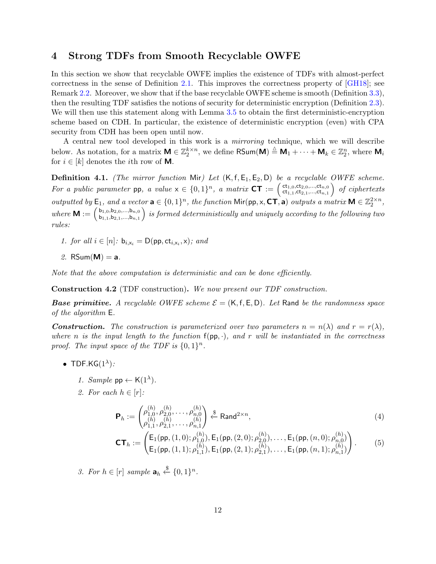## <span id="page-11-3"></span><span id="page-11-0"></span>4 Strong TDFs from Smooth Recyclable OWFE

In this section we show that recyclable OWFE implies the existence of TDFs with almost-perfect correctness in the sense of Definition [2.1.](#page-7-1) This improves the correctness property of [\[GH18\]](#page-32-2); see Remark [2.2.](#page-8-0) Moreover, we show that if the base recyclable OWFE scheme is smooth (Definition [3.3\)](#page-10-4), then the resulting TDF satisfies the notions of security for deterministic encryption (Definition [2.3\)](#page-8-1). We will then use this statement along with Lemma [3.5](#page-10-5) to obtain the first deterministic-encryption scheme based on CDH. In particular, the existence of deterministic encryption (even) with CPA security from CDH has been open until now.

A central new tool developed in this work is a mirroring technique, which we will describe below. As notation, for a matrix  $M \in \mathbb{Z}_2^{k \times n}$ , we define  $\mathsf{RSum}(M) \triangleq M_1 + \cdots + M_k \in \mathbb{Z}_2^n$ , where  $M_i$ for  $i \in [k]$  denotes the *i*th row of **M**.

**Definition 4.1.** (The mirror function Mir) Let  $(K, f, E_1, E_2, D)$  be a recyclable OWFE scheme. For a public parameter pp, a value  $x \in \{0,1\}^n$ , a matrix  $CT := \begin{pmatrix} ct_{1,0}, ct_{2,0},...,ct_{n,0} \\ ct_{1,1}, ct_{2,1},...,ct_{n,1} \end{pmatrix}$  $\left(\mathsf{ct}_{1,0},\mathsf{ct}_{2,0},...,\mathsf{ct}_{n,0}\right) \ \ of \ \ ciphertexts$ outputted by  $\mathsf{E}_1$ , and a vector  $\mathbf{a} \in \{0,1\}^n$ , the function  $\mathsf{Mir}(\mathsf{pp}, \mathsf{x}, \mathsf{CT}, \mathbf{a})$  outputs a matrix  $\mathsf{M} \in \mathbb{Z}_2^{2 \times n}$ , where  $\mathbf{M} := \begin{pmatrix} b_{1,0}, b_{2,0},...,b_{n,0} \\ b_{1,1}, b_{2,1},...,b_{n,1} \end{pmatrix}$  $\left( \mathbf{b}_{1,0} , \mathbf{b}_{2,0}, ..., \mathbf{b}_{n,0} \right)$  is formed deterministically and uniquely according to the following two rules:

1. for all  $i \in [n]: b_{i,x_i} = D(pp, ct_{i,x_i}, x);$  and

2. RSum $(M) = a$ .

Note that the above computation is deterministic and can be done efficiently.

<span id="page-11-2"></span>Construction 4.2 (TDF construction). We now present our TDF construction.

**Base primitive.** A recyclable OWFE scheme  $\mathcal{E} = (K, f, E, D)$ . Let Rand be the randomness space of the algorithm E.

**Construction.** The construction is parameterized over two parameters  $n = n(\lambda)$  and  $r = r(\lambda)$ , where n is the input length to the function  $f(p, \cdot)$ , and r will be instantiated in the correctness proof. The input space of the TDF is  $\{0,1\}^n$ .

- TDF.KG $(1^{\lambda})$ :
	- 1. Sample  $pp \leftarrow K(1^{\lambda})$ .
	- 2. For each  $h \in [r]$ :

$$
\mathbf{P}_h := \begin{pmatrix} \rho_{1,0}^{(h)}, \rho_{2,0}^{(h)}, \dots, \rho_{n,0}^{(h)} \\ \rho_{1,1}^{(h)}, \rho_{2,1}^{(h)}, \dots, \rho_{n,1}^{(h)} \end{pmatrix} \stackrel{\$}{\leftarrow} \text{Rand}^{2 \times n}, \tag{4}
$$

<span id="page-11-1"></span>
$$
\mathbf{CT}_h := \begin{pmatrix} \mathsf{E}_1(\mathsf{pp}, (1,0); \rho_{1,0}^{(h)}), \mathsf{E}_1(\mathsf{pp}, (2,0); \rho_{2,0}^{(h)}), \dots, \mathsf{E}_1(\mathsf{pp}, (n,0); \rho_{n,0}^{(h)}) \\ \mathsf{E}_1(\mathsf{pp}, (1,1); \rho_{1,1}^{(h)}), \mathsf{E}_1(\mathsf{pp}, (2,1); \rho_{2,1}^{(h)}), \dots, \mathsf{E}_1(\mathsf{pp}, (n,1); \rho_{n,1}^{(h)}) \end{pmatrix} . \tag{5}
$$

3. For  $h \in [r]$  sample  $\mathbf{a}_h \stackrel{\$}{\leftarrow} \{0,1\}^n$ .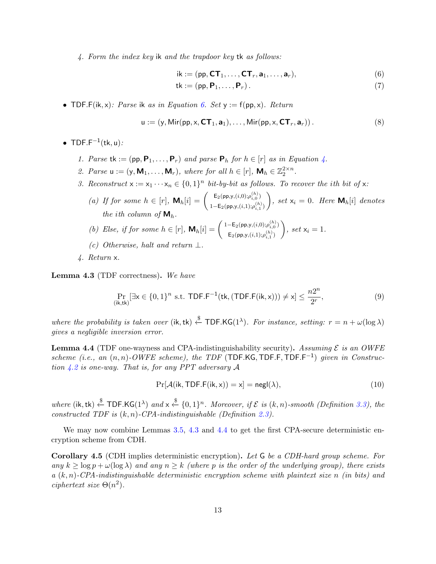4. Form the index key ik and the trapdoor key tk as follows:

<span id="page-12-0"></span>
$$
ik := (pp, CT_1, \dots, CT_r, a_1, \dots, a_r),
$$
\n(6)

$$
\mathsf{tk} := (\mathsf{pp}, \mathsf{P}_1, \dots, \mathsf{P}_r). \tag{7}
$$

• TDF.F(ik, x): Parse ik as in Equation [6.](#page-12-0) Set  $y := f(p, x)$ . Return

$$
\mathbf{u} := (\mathbf{y}, \text{Mir}(\mathsf{pp}, \mathbf{x}, \mathbf{CT}_1, \mathbf{a}_1), \dots, \text{Mir}(\mathsf{pp}, \mathbf{x}, \mathbf{CT}_r, \mathbf{a}_r)).
$$
\n(8)

- TDF.F<sup> $-1$ </sup>(tk, u):
	- 1. Parse tk :=  $(pp, P_1, ..., P_r)$  and parse  $P_h$  for  $h \in [r]$  as in Equation [4.](#page-11-1)
	- 2. Parse  $u := (y, M_1, \ldots, M_r)$ , where for all  $h \in [r]$ ,  $M_h \in \mathbb{Z}_2^{2 \times n}$ .
	- 3. Reconstruct  $x := x_1 \cdots x_n \in \{0,1\}^n$  bit-by-bit as follows. To recover the ith bit of x:
		- (a) If for some  $h \in [r]$ ,  $\mathbf{M}_h[i] = \begin{pmatrix} \mathsf{E}_2(\mathsf{pp},y, (i,0), \rho_i^{(h)}) \\ 1, \mathsf{F}_k(\mathsf{gm}, y, (i,0), (h)) \end{pmatrix}$  $\mathsf{1}\text{--}\mathsf{E}_2(\mathsf{pp},\mathsf{y},(i,\mathsf{1});\rho_{i,\mathsf{1}}^{(h)})$  $\Big), \text{ set } \mathsf{x}_i = 0. \text{ Here } \mathsf{M}_h[i] \text{ denotes }$ the ith column of  $M_h$ .
		- (b) Else, if for some  $h \in [r]$ ,  $\mathbf{M}_h[i] = \begin{pmatrix} 1 \mathsf{E}_2(\mathsf{pp}, y, (i, 0), \rho_{i,0}^{(h)}) \\ \mathsf{E}_k(y, (i, 0), (h)) \end{pmatrix}$  $\mathsf{E}_{2}(\mathsf{pp},\mathsf{y},(i,1);\rho^{(h)}_{i,1})$  $\Big), set x_i = 1.$
		- (c) Otherwise, halt and return  $\perp$ .
	- 4. Return x.

<span id="page-12-1"></span>Lemma 4.3 (TDF correctness). We have

$$
\Pr_{(\mathbf{i}\mathbf{k},\mathbf{tk})}[\exists \mathbf{x} \in \{0,1\}^n \text{ s.t. } \mathsf{TDF.F^{-1}}(\mathsf{tk}, (\mathsf{TDF.F(ik, x)})) \neq \mathbf{x}] \le \frac{n2^n}{2^r},\tag{9}
$$

where the probability is taken over (ik, tk)  $\xi$  TDF.KG(1<sup> $\lambda$ </sup>). For instance, setting:  $r = n + \omega(\log \lambda)$ gives a negligible inversion error.

<span id="page-12-2"></span>**Lemma 4.4** (TDF one-wayness and CPA-indistinguishability security). Assuming  $\mathcal{E}$  is an OWFE scheme (i.e., an  $(n, n)$ -OWFE scheme), the TDF (TDF.KG, TDF.F, TDF.F<sup>-1</sup>) given in Construction  $4.2$  is one-way. That is, for any PPT adversary A

$$
Pr[\mathcal{A}(ik, TDF.F(ik, x)) = x] = negl(\lambda),
$$
\n(10)

where (ik, tk)  $\xleftarrow{\$}$  TDF.KG(1<sup> $\lambda$ </sup>) and  $x \overset{\$}{\leftarrow} \{0,1\}^n$ . Moreover, if  $\mathcal E$  is (k, n)-smooth (Definition [3.3\)](#page-10-4), the constructed TDF is  $(k, n)$ -CPA-indistinguishable (Definition [2.3\)](#page-8-1).

We may now combine Lemmas [3.5,](#page-10-5) [4.3](#page-12-1) and [4.4](#page-12-2) to get the first CPA-secure deterministic encryption scheme from CDH.

Corollary 4.5 (CDH implies deterministic encryption). Let G be a CDH-hard group scheme. For any  $k \geq \log p + \omega(\log \lambda)$  and any  $n \geq k$  (where p is the order of the underlying group), there exists  $a(k, n)$ -CPA-indistinguishable deterministic encryption scheme with plaintext size n (in bits) and ciphertext size  $\Theta(n^2)$ .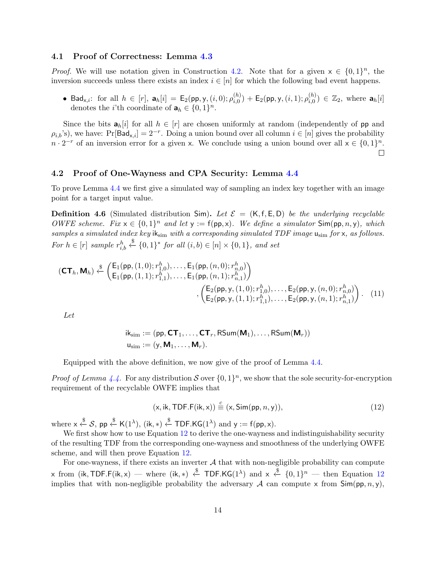#### 4.1 Proof of Correctness: Lemma [4.3](#page-12-1)

*Proof.* We will use notation given in Construction [4.2.](#page-11-2) Note that for a given  $x \in \{0,1\}^n$ , the inversion succeeds unless there exists an index  $i \in [n]$  for which the following bad event happens.

• Bad<sub>x,i</sub>: for all  $h \in [r]$ ,  $a_h[i] = E_2(pp, y, (i, 0); \rho_{i, 0}^{(h)}$  $\tilde{h}_{i,0}^{(h)})+\mathsf{E}_2(\mathsf{pp},\mathsf{y},(i,1);\rho_{i,0}^{(h)})$  $\binom{(h)}{i,0} \in \mathbb{Z}_2$ , where  $\mathbf{a}_h[i]$ denotes the *i*'th coordinate of  $\mathbf{a}_h \in \{0, 1\}^n$ .

Since the bits  $a_h[i]$  for all  $h \in [r]$  are chosen uniformly at random (independently of pp and  $\rho_{i,b}$ 's), we have: Pr[Bad<sub>x,i</sub>] = 2<sup>-r</sup>. Doing a union bound over all column  $i \in [n]$  gives the probability  $n \cdot 2^{-r}$  of an inversion error for a given x. We conclude using a union bound over all  $x \in \{0,1\}^n$ .  $\Box$ 

#### 4.2 Proof of One-Wayness and CPA Security: Lemma [4.4](#page-12-2)

To prove Lemma [4.4](#page-12-2) we first give a simulated way of sampling an index key together with an image point for a target input value.

<span id="page-13-1"></span>**Definition 4.6** (Simulated distribution Sim). Let  $\mathcal{E} = (K, f, E, D)$  be the underlying recyclable OWFE scheme. Fix  $x \in \{0,1\}^n$  and let  $y := f(p, x)$ . We define a simulator  $Sim(p, n, y)$ , which samples a simulated index key  $ik_{sim}$  with a corresponding simulated TDF image  $u_{sim}$  for x, as follows. For  $h \in [r]$  sample  $r_{i,b}^h \overset{\$}{\leftarrow} \{0,1\}^*$  for all  $(i,b) \in [n] \times \{0,1\}$ , and set

$$
(\mathbf{CT}_h, \mathbf{M}_h) \stackrel{\$}{\leftarrow} \begin{pmatrix} \mathsf{E}_1(\mathsf{pp}, (1,0); r_{1,0}^h), \dots, \mathsf{E}_1(\mathsf{pp}, (n,0); r_{n,0}^h) \\ \mathsf{E}_1(\mathsf{pp}, (1,1); r_{1,1}^h), \dots, \mathsf{E}_1(\mathsf{pp}, (n,1); r_{n,1}^h) \end{pmatrix} \\ , \begin{pmatrix} \mathsf{E}_2(\mathsf{pp}, \mathsf{y}, (1,0); r_{1,0}^h), \dots, \mathsf{E}_2(\mathsf{pp}, \mathsf{y}, (n,0); r_{n,0}^h) \\ \mathsf{E}_2(\mathsf{pp}, \mathsf{y}, (1,1); r_{1,1}^h), \dots, \mathsf{E}_2(\mathsf{pp}, \mathsf{y}, (n,1); r_{n,1}^h) \end{pmatrix} . \tag{11}
$$

Let

$$
ik_{\text{sim}} := (pp, \text{CT}_1, \ldots, \text{CT}_r, \text{RSum}(\textbf{M}_1), \ldots, \text{RSum}(\textbf{M}_r))
$$

$$
u_{\text{sim}} := (y, \textbf{M}_1, \ldots, \textbf{M}_r).
$$

Equipped with the above definition, we now give of the proof of Lemma [4.4.](#page-12-2)

*Proof of Lemma [4.4.](#page-12-2)* For any distribution S over  $\{0,1\}^n$ , we show that the sole security-for-encryption requirement of the recyclable OWFE implies that

<span id="page-13-0"></span>
$$
(\mathsf{x}, \mathsf{ik}, \mathsf{TDF.F}(\mathsf{ik}, \mathsf{x})) \stackrel{c}{\equiv} (\mathsf{x}, \mathsf{Sim}(\mathsf{pp}, n, \mathsf{y})),\tag{12}
$$

where  $x \stackrel{\$}{\leftarrow} S$ , pp  $\stackrel{\$}{\leftarrow}$  K(1<sup> $\lambda$ </sup>), (ik, \*)  $\stackrel{\$}{\leftarrow}$  TDF.KG(1<sup> $\lambda$ </sup>) and y := f(pp, x).

We first show how to use Equation [12](#page-13-0) to derive the one-wayness and indistinguishability security of the resulting TDF from the corresponding one-wayness and smoothness of the underlying OWFE scheme, and will then prove Equation [12.](#page-13-0)

For one-wayness, if there exists an inverter  $A$  that with non-negligible probability can compute  $\mathsf{x}$  from (ik, TDF.F(ik,  $\mathsf{x}$ ) — where (ik,  $\ast$ )  $\xi$  TDF.KG(1<sup> $\lambda$ </sup>) and  $\mathsf{x} \stackrel{\$}{\leftarrow} \{0,1\}^n$  — then Equation [12](#page-13-0) implies that with non-negligible probability the adversary A can compute x from  $\textsf{Sim}(pp, n, y)$ ,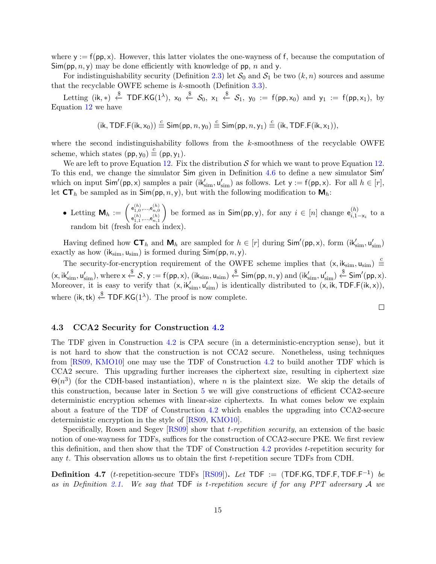<span id="page-14-0"></span>where  $y := f(p, x)$ . However, this latter violates the one-wayness of f, because the computation of  $\mathsf{Sim}(\mathsf{pp}, n, \mathsf{y})$  may be done efficiently with knowledge of pp, n and y.

For indistinguishability security (Definition [2.3\)](#page-8-1) let  $S_0$  and  $S_1$  be two  $(k, n)$  sources and assume that the recyclable OWFE scheme is  $k$ -smooth (Definition [3.3\)](#page-10-4).

Letting (ik,\*)  $\xleftarrow{\$}$  TDF.KG(1<sup> $\lambda$ </sup>), x<sub>0</sub>  $\xleftarrow{\$}$  S<sub>0</sub>, x<sub>1</sub>  $\xleftarrow{\$}$  S<sub>1</sub>, y<sub>0</sub> := f(pp,x<sub>0</sub>) and y<sub>1</sub> := f(pp,x<sub>1</sub>), by Equation [12](#page-13-0) we have

$$
(\mathsf{ik},\mathsf{TDF.F}(\mathsf{ik},\mathsf{x}_0)) \stackrel{c}{\equiv} \mathsf{Sim}(\mathsf{pp},n,\mathsf{y}_0) \stackrel{c}{\equiv} \mathsf{Sim}(\mathsf{pp},n,\mathsf{y}_1) \stackrel{c}{\equiv} (\mathsf{ik},\mathsf{TDF.F}(\mathsf{ik},\mathsf{x}_1)),
$$

where the second indistinguishability follows from the  $k$ -smoothness of the recyclable OWFE scheme, which states  $(pp, y_0) \stackrel{c}{\equiv} (pp, y_1)$ .

We are left to prove Equation [12.](#page-13-0) Fix the distribution  $S$  for which we want to prove Equation 12. To this end, we change the simulator Sim given in Definition [4.6](#page-13-1) to define a new simulator Sim<sup>'</sup> which on input  $Sim'(pp, x)$  samples a pair  $(ik'_{sim}, u'_{sim})$  as follows. Let  $y := f(pp, x)$ . For all  $h \in [r]$ , let  $CT_h$  be sampled as in  $Sim(pp, n, y)$ , but with the following modification to  $M_h$ :

• Letting  $\mathsf{M}_h := \left( \begin{smallmatrix} \mathsf{e}_{1,0}^{(h)},...,\mathsf{e}_{n,0}^{(h)} \ \mathsf{e}_{1,0}^{(h)},...,\mathsf{e}_{n,0}^{(h)} \end{smallmatrix} \right)$  ${\mathsf e}_{1,1}^{(h)},\hspace{-0.1cm} ...,\hspace{-0.1cm} {\mathsf e}_{n,1}^{(h)}$ be formed as in  $\textsf{Sim}(pp, y)$ , for any  $i \in [n]$  change  $e_{i, 1}^{(h)}$ .  $\sum_{i,1-x_i}^{(n)}$  to a random bit (fresh for each index).

Having defined how  $CT_h$  and  $M_h$  are sampled for  $h \in [r]$  during  $Sim'(pp, x)$ , form  $(ik'_{sim}, u'_{sim})$ exactly as how (i $k_{sim}$ ,  $u_{sim}$ ) is formed during  $Sim(p, n, y)$ .

The security-for-encryption requirement of the OWFE scheme implies that  $(x, ik_{sim}, u_{sim}) \equiv$  $(x, ik'_{sim}, u'_{sim})$ , where  $x \stackrel{\$}{\leftarrow} S$ ,  $y := f(pp, x)$ ,  $(ik_{sim}, u_{sim}) \stackrel{\$}{\leftarrow} Sim(pp, n, y)$  and  $(ik'_{sim}, u'_{sim}) \stackrel{\$}{\leftarrow} Sim'(pp, x)$ . Moreover, it is easy to verify that  $(x, ik'_{sim}, u'_{sim})$  is identically distributed to  $(x, ik, TDF.F(ik, x)),$ where (ik, tk)  $\xi$  TDF.KG(1<sup> $\lambda$ </sup>). The proof is now complete.

$$
\qquad \qquad \Box
$$

#### 4.3 CCA2 Security for Construction [4.2](#page-11-2)

The TDF given in Construction [4.2](#page-11-2) is CPA secure (in a deterministic-encryption sense), but it is not hard to show that the construction is not CCA2 secure. Nonetheless, using techniques from [\[RS09,](#page-33-4) [KMO10\]](#page-33-7) one may use the TDF of Construction [4.2](#page-11-2) to build another TDF which is CCA2 secure. This upgrading further increases the ciphertext size, resulting in ciphertext size  $\Theta(n^3)$  (for the CDH-based instantiation), where n is the plaintext size. We skip the details of this construction, because later in Section [5](#page-15-1) we will give constructions of efficient CCA2-secure deterministic encryption schemes with linear-size ciphertexts. In what comes below we explain about a feature of the TDF of Construction [4.2](#page-11-2) which enables the upgrading into CCA2-secure deterministic encryption in the style of [\[RS09,](#page-33-4) [KMO10\]](#page-33-7).

Specifically, Rosen and Segev [\[RS09\]](#page-33-4) show that *t-repetition security*, an extension of the basic notion of one-wayness for TDFs, suffices for the construction of CCA2-secure PKE. We first review this definition, and then show that the TDF of Construction [4.2](#page-11-2) provides t-repetition security for any t. This observation allows us to obtain the first t-repetition secure TDFs from CDH.

**Definition 4.7** (*t*-repetition-secure TDFs [\[RS09\]](#page-33-4)). Let TDF := (TDF.KG, TDF.F, TDF.F<sup>-1</sup>) be as in Definition [2.1.](#page-7-1) We say that TDF is t-repetition secure if for any PPT adversary A we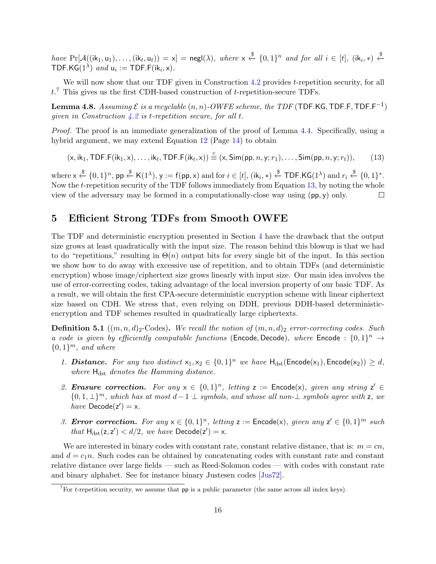<span id="page-15-5"></span>have  $Pr[\mathcal{A}((ik_1, u_1), \ldots, (ik_t, u_t)) = x] = negl(\lambda)$ , where  $x \stackrel{\$}{\leftarrow} \{0, 1\}^n$  and for all  $i \in [t]$ ,  $(ik_i, *) \stackrel{\$}{\leftarrow}$ TDF.KG $(1^{\lambda})$  and  $u_i := \text{TDF.F}(\text{ik}_i, x)$ .

We will now show that our TDF given in Construction [4.2](#page-11-2) provides t-repetition security, for all  $t.^7$  $t.^7$  This gives us the first CDH-based construction of  $t$ -repetition-secure TDFs.

**Lemma 4.8.** Assuming  $\mathcal E$  is a recyclable  $(n, n)$ -OWFE scheme, the TDF (TDF.KG, TDF.F, TDF.F<sup>-1</sup>) given in Construction  $4.2$  is t-repetition secure, for all t.

Proof. The proof is an immediate generalization of the proof of Lemma [4.4.](#page-12-2) Specifically, using a hybrid argument, we may extend Equation [12](#page-13-0) (Page [14\)](#page-13-0) to obtain

<span id="page-15-3"></span>
$$
(\mathsf{x}, \mathsf{ik}_1, \mathsf{TDF.F}(\mathsf{ik}_1, \mathsf{x}), \dots, \mathsf{ik}_t, \mathsf{TDF.F}(\mathsf{ik}_t, \mathsf{x})) \stackrel{c}{\equiv} (\mathsf{x}, \mathsf{Sim}(pp, n, \mathsf{y}; r_1), \dots, \mathsf{Sim}(pp, n, \mathsf{y}; r_t)), \tag{13}
$$

 $\text{where } \mathsf{x} \xleftarrow{\$} \{0,1\}^n, \, \mathsf{pp} \xleftarrow{\$} \mathsf{K}(1^\lambda), \, \mathsf{y} := \mathsf{f}(\mathsf{pp},\mathsf{x}) \text{ and for } i \in [t], \, (\mathsf{ik}_i,\ast) \xleftarrow{\$} \mathsf{TOF}.\mathsf{KG}(1^\lambda) \text{ and } r_i \xleftarrow{\$} \{0,1\}^*.$ Now the t-repetition security of the TDF follows immediately from Equation [13,](#page-15-3) by noting the whole view of the adversary may be formed in a computationally-close way using  $(pp, y)$  only.  $\Box$ 

## <span id="page-15-1"></span>5 Efficient Strong TDFs from Smooth OWFE

The TDF and deterministic encryption presented in Section [4](#page-11-0) have the drawback that the output size grows at least quadratically with the input size. The reason behind this blowup is that we had to do "repetitions," resulting in  $\Theta(n)$  output bits for every single bit of the input. In this section we show how to do away with excessive use of repetition, and to obtain TDFs (and deterministic encryption) whose image/ciphertext size grows linearly with input size. Our main idea involves the use of error-correcting codes, taking advantage of the local inversion property of our basic TDF. As a result, we will obtain the first CPA-secure deterministic encryption scheme with linear ciphertext size based on CDH. We stress that, even relying on DDH, previous DDH-based deterministicencryption and TDF schemes resulted in quadratically large ciphertexts.

<span id="page-15-0"></span>**Definition 5.1**  $((m, n, d)<sub>2</sub>$ -Codes). We recall the notion of  $(m, n, d)<sub>2</sub>$  error-correcting codes. Such a code is given by efficiently computable functions (Encode, Decode), where Encode :  $\{0,1\}^n \rightarrow$  ${0,1}<sup>m</sup>$ , and where

- 1. **Distance.** For any two distinct  $x_1, x_2 \in \{0, 1\}^n$  we have  $H_{dst}(\text{Encode}(x_1), \text{Encode}(x_2)) \geq d$ , where  $H_{dst}$  denotes the Hamming distance.
- 2. **Erasure correction.** For any  $x \in \{0,1\}^n$ , letting  $z :=$  Encode(x), given any string  $z' \in$  $\{0, 1, \perp\}^m$ , which has at most  $d-1 \perp$  symbols, and whose all non- $\perp$  symbols agree with z, we have  $\text{Decode}(z') = x$ .
- <span id="page-15-4"></span>3. Error correction. For any  $x \in \{0,1\}^n$ , letting  $z :=$  Encode(x), given any  $z' \in \{0,1\}^m$  such that  $H_{dst}(z, z') < d/2$ , we have  $Decode(z') = x$ .

We are interested in binary codes with constant rate, constant relative distance, that is:  $m = cn$ , and  $d = c_1n$ . Such codes can be obtained by concatenating codes with constant rate and constant relative distance over large fields — such as Reed-Solomon codes — with codes with constant rate and binary alphabet. See for instance binary Justesen codes [\[Jus72\]](#page-33-12).

<span id="page-15-2"></span><sup>&</sup>lt;sup>7</sup>For *t*-repetition security, we assume that **pp** is a public parameter (the same across all index keys).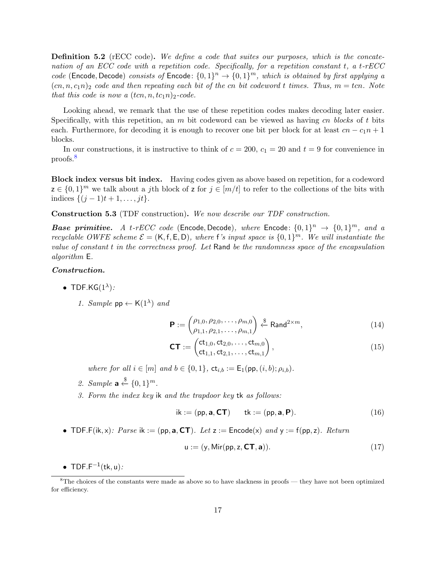<span id="page-16-0"></span>**Definition 5.2** (rECC code). We define a code that suites our purposes, which is the concatenation of an ECC code with a repetition code. Specifically, for a repetition constant  $t$ , a  $t$ -rECC code (Encode, Decode) consists of Encode:  $\{0,1\}^n \rightarrow \{0,1\}^m$ , which is obtained by first applying a  $(cn, n, c_1n)_2$  code and then repeating each bit of the cn bit codeword t times. Thus,  $m = tcn$ . Note that this code is now a  $(tcn, n, tc<sub>1</sub>n)<sub>2</sub>$ -code.

Looking ahead, we remark that the use of these repetition codes makes decoding later easier. Specifically, with this repetition, an  $m$  bit codeword can be viewed as having  $cn$  blocks of t bits each. Furthermore, for decoding it is enough to recover one bit per block for at least  $cn - c_1n + 1$ blocks.

In our constructions, it is instructive to think of  $c = 200$ ,  $c_1 = 20$  and  $t = 9$  for convenience in proofs.[8](#page-16-1)

Block index versus bit index. Having codes given as above based on repetition, for a codeword  $z \in \{0,1\}^m$  we talk about a jth block of z for  $j \in [m/t]$  to refer to the collections of the bits with indices  $\{(j-1)t + 1, \ldots, jt\}.$ 

<span id="page-16-3"></span>Construction 5.3 (TDF construction). We now describe our TDF construction.

**Base primitive.** A t-rECC code (Encode, Decode), where Encode:  $\{0,1\}^n \rightarrow \{0,1\}^m$ , and a recyclable OWFE scheme  $\mathcal{E} = (\mathsf{K}, \mathsf{f}, \mathsf{E}, \mathsf{D})$ , where f's input space is  $\{0,1\}^m$ . We will instantiate the value of constant t in the correctness proof. Let Rand be the randomness space of the encapsulation algorithm E.

#### Construction.

- TDF.KG $(1^{\lambda})$ :
	- 1. Sample  $pp \leftarrow K(1^{\lambda})$  and

<span id="page-16-2"></span>
$$
\mathbf{P} := \begin{pmatrix} \rho_{1,0}, \rho_{2,0}, \dots, \rho_{m,0} \\ \rho_{1,1}, \rho_{2,1}, \dots, \rho_{m,1} \end{pmatrix} \stackrel{\$}{\leftarrow} \text{Rand}^{2 \times m}, \tag{14}
$$

$$
CT := \begin{pmatrix} ct_{1,0}, ct_{2,0}, \dots, ct_{m,0} \\ ct_{1,1}, ct_{2,1}, \dots, ct_{m,1} \end{pmatrix},
$$
\n(15)

where for all  $i \in [m]$  and  $b \in \{0,1\}$ ,  $\mathsf{ct}_{i,b} := \mathsf{E}_1(\mathsf{pp},(i,b); \rho_{i,b})$ .

- 2. Sample  $\mathbf{a} \stackrel{\$}{\leftarrow} \{0,1\}^m$ .
- 3. Form the index key ik and the trapdoor key tk as follows:

$$
ik := (pp, \mathbf{a}, \mathbf{CT}) \qquad \mathsf{tk} := (pp, \mathbf{a}, \mathbf{P}). \tag{16}
$$

• TDF.F(ik, x): Parse ik := (pp,  $\mathbf{a}, \mathbf{CT}$ ). Let  $z :=$  Encode(x) and  $y := f(p, z)$ . Return

$$
\mathbf{u} := (\mathbf{y}, \text{Mir}(\mathsf{pp}, \mathbf{z}, \mathsf{CT}, \mathbf{a})). \tag{17}
$$

• TDF.F<sup> $-1$ </sup>(tk, u):

<span id="page-16-1"></span> ${}^{8}$ The choices of the constants were made as above so to have slackness in proofs — they have not been optimized for efficiency.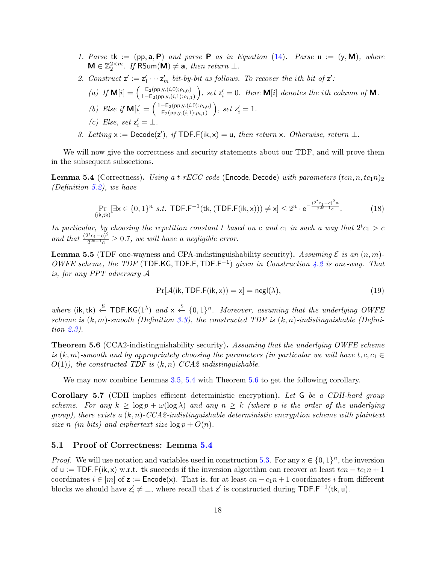- 1. Parse tk :=  $(pp, a, P)$  and parse P as in Equation [\(14\)](#page-16-2). Parse  $u := (y, M)$ , where  $\mathbf{M} \in \mathbb{Z}_2^{2 \times m}$ . If RSum $(\mathbf{M}) \neq \mathbf{a}$ , then return  $\perp$ .
- 2. Construct  $z' := z'_1 \cdots z'_m$  bit-by-bit as follows. To recover the ith bit of  $z'$ :

\n- (a) If 
$$
\mathbf{M}[i] = \begin{pmatrix} \mathsf{E}_2(\mathsf{pp},y,(i,0); \rho_{i,0}) \\ 1-\mathsf{E}_2(\mathsf{pp},y,(i,1); \rho_{i,1}) \end{pmatrix}
$$
, set  $\mathsf{z}'_i = 0$ . Here  $\mathbf{M}[i]$  denotes the *i*th column of  $\mathbf{M}$ .
\n- (b) Else if  $\mathbf{M}[i] = \begin{pmatrix} 1-\mathsf{E}_2(\mathsf{pp},y,(i,0); \rho_{i,0}) \\ \mathsf{E}_2(\mathsf{pp},y,(i,1); \rho_{i,1}) \end{pmatrix}$ , set  $\mathsf{z}'_i = 1$ .
\n- (c) Else, set  $\mathsf{z}'_i = \bot$ .
\n

3. Letting  $x := \text{Decode}(z')$ , if TDF.F(ik, x) = u, then return x. Otherwise, return  $\perp$ .

We will now give the correctness and security statements about our TDF, and will prove them in the subsequent subsections.

<span id="page-17-0"></span>**Lemma 5.4** (Correctness). Using a t-rECC code (Encode, Decode) with parameters  $(tc_1, n, tc_1n)_2$ (Definition [5.2\)](#page-16-0), we have

$$
\Pr_{(\mathbf{i}\mathbf{k},\mathbf{tk})}[\exists \mathbf{x} \in \{0,1\}^n \text{ s.t. } \mathsf{TDF}.\mathsf{F}^{-1}(\mathsf{tk}, (\mathsf{TDF}.\mathsf{F}(\mathsf{ik}, \mathbf{x}))) \neq \mathbf{x}] \leq 2^n \cdot e^{-\frac{(2^t c_1 - c)^2 n}{2^{2t - 1} c}}. \tag{18}
$$

In particular, by choosing the repetition constant t based on c and  $c_1$  in such a way that  $2^t c_1 > c$ and that  $\frac{(2^t c_1-c)^2}{2^{2t-1}c}$  $\frac{z^{c}c_{1}-c_{1}-c_{1}}{2^{2t-1}c} \geq 0.7$ , we will have a negligible error.

<span id="page-17-2"></span>**Lemma 5.5** (TDF one-wayness and CPA-indistinguishability security). Assuming  $\mathcal E$  is an  $(n, m)$ -OWFE scheme, the TDF (TDF.KG, TDF.F, TDF.F<sup>-1</sup>) given in Construction [4.2](#page-11-2) is one-way. That is, for any PPT adversary A

$$
\Pr[\mathcal{A}(ik, \text{TDF.F}(ik, x)) = x] = \text{negl}(\lambda),\tag{19}
$$

where (ik, tk)  $\xi$  TDF.KG(1<sup> $\lambda$ </sup>) and  $x \stackrel{\$}{\leftarrow} \{0,1\}^n$ . Moreover, assuming that the underlying OWFE scheme is  $(k, m)$ -smooth (Definition [3.3\)](#page-10-4), the constructed TDF is  $(k, n)$ -indistinguishable (Definition [2.3\)](#page-8-1).

<span id="page-17-1"></span>**Theorem 5.6** (CCA2-indistinguishability security). Assuming that the underlying OWFE scheme is  $(k, m)$ -smooth and by appropriately choosing the parameters (in particular we will have  $t, c, c_1 \in$  $O(1)$ , the constructed TDF is  $(k, n)$ -CCA2-indistinguishable.

We may now combine Lemmas [3.5,](#page-10-5) [5.4](#page-17-0) with Theorem [5.6](#page-17-1) to get the following corollary.

Corollary 5.7 (CDH implies efficient deterministic encryption). Let G be a CDH-hard group scheme. For any  $k \geq \log p + \omega(\log \lambda)$  and any  $n \geq k$  (where p is the order of the underlying group), there exists a  $(k, n)$ -CCA2-indistinguishable deterministic encryption scheme with plaintext size n (in bits) and ciphertext size  $\log p + O(n)$ .

#### 5.1 Proof of Correctness: Lemma [5.4](#page-17-0)

*Proof.* We will use notation and variables used in construction [5.3.](#page-16-3) For any  $x \in \{0,1\}^n$ , the inversion of u := TDF.F(ik, x) w.r.t. tk succeeds if the inversion algorithm can recover at least  $tcn - tc_1n + 1$ coordinates  $i \in [m]$  of  $z :=$  Encode(x). That is, for at least  $cn - c_1n + 1$  coordinates i from different blocks we should have  $z'_i \neq \bot$ , where recall that  $z'$  is constructed during TDF.F<sup>-1</sup>(tk, u).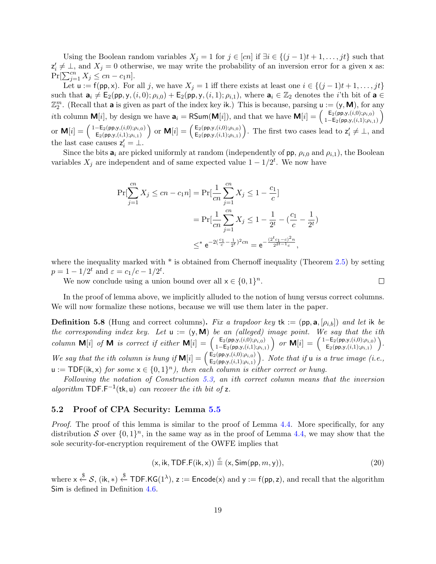Using the Boolean random variables  $X_j = 1$  for  $j \in [cn]$  if  $\exists i \in \{(j-1)t+1,\ldots, jt\}$  such that  $z'_i \neq \bot$ , and  $X_j = 0$  otherwise, we may write the probability of an inversion error for a given x as:  $Pr[\sum_{j=1}^{cn} X_j \leq cn - c_1 n].$ 

Let  $u := f(p, x)$ . For all j, we have  $X_j = 1$  iff there exists at least one  $i \in \{(j-1)t+1, \ldots, jt\}$ such that  $\mathbf{a}_i \neq \mathsf{E}_2(\mathsf{pp}, \mathsf{y}, (i, 0); \rho_{i,0}) + \mathsf{E}_2(\mathsf{pp}, \mathsf{y}, (i, 1); \rho_{i,1}),$  where  $\mathbf{a}_i \in \mathbb{Z}_2$  denotes the *i*'th bit of  $\mathbf{a} \in \mathbb{Z}_2$  $\mathbb{Z}_2^m$ . (Recall that **a** is given as part of the index key ik.) This is because, parsing  $u := (y, M)$ , for any *i*th column **M**[*i*], by design we have  $\mathbf{a}_i = \text{RSum}(\mathbf{M}[i])$ , and that we have  $\mathbf{M}[i] = \begin{pmatrix} \mathbf{E}_2(\mathbf{p}\mathbf{p},y, (i,0); \rho_{i,0}) \\ 1 - \mathbf{E}_2(\mathbf{p}\mathbf{p},y, (i,1); \rho_{i,0}) \end{pmatrix}$  $1-\mathsf{E}_2(\mathsf{pp},\mathsf{y},(i,1);\rho_{i,1})$  $\setminus$ or  $\mathbf{M}[i] = \begin{pmatrix} 1-\mathsf{E}_2(\mathsf{pp},y,(i,0);\rho_{i,0}) \\ \mathsf{E}_2(\mathsf{pp},y,(i,1);q_{i,0}) \end{pmatrix}$  $\mathsf{E}_2(\mathsf{pp},\mathsf{y},(i,1);\rho_{i,1})$ or  $\mathbf{M}[i] = \begin{pmatrix} \mathsf{E}_2(\mathsf{pp},y,(i,0);\rho_{i,0}) \\ \mathsf{E}_2(\mathsf{pp},y,(i,1);o_{i,1}) \end{pmatrix}$  $\mathsf{E}_2(\mathsf{pp},\mathsf{y},(i,1);\rho_{i,1})$ ). The first two cases lead to  $z'_{i} \neq \bot$ , and the last case causes  $z'_i = \bot$ .  $\prime$ 

Since the bits  $a_i$  are picked uniformly at random (independently of pp,  $\rho_{i,0}$  and  $\rho_{i,1}$ ), the Boolean variables  $X_j$  are independent and of same expected value  $1 - 1/2^t$ . We now have

$$
\Pr[\sum_{j=1}^{cn} X_j \le cn - c_1 n] = \Pr[\frac{1}{cn} \sum_{j=1}^{cn} X_j \le 1 - \frac{c_1}{c}]
$$
  
= 
$$
\Pr[\frac{1}{cn} \sum_{j=1}^{cn} X_j \le 1 - \frac{1}{2^t} - (\frac{c_1}{c} - \frac{1}{2^t})
$$
  

$$
\le \epsilon e^{-2(\frac{c_1}{c} - \frac{1}{2^t})^2 cn} = e^{-\frac{(2^t c_1 - c)^2 n}{2^{2t - 1} c}},
$$

where the inequality marked with  $*$  is obtained from Chernoff inequality (Theorem [2.5\)](#page-8-2) by setting  $p = 1 - 1/2^t$  and  $\varepsilon = c_1/c - 1/2^t$ .

We now conclude using a union bound over all  $x \in \{0,1\}^n$ .

In the proof of lemma above, we implicitly alluded to the notion of hung versus correct columns. We will now formalize these notions, because we will use them later in the paper.

<span id="page-18-1"></span>**Definition 5.8** (Hung and correct columns). Fix a trapdoor key tk := (pp, a,  $[\rho_{i,b}]$ ) and let ik be the corresponding index key. Let  $u := (y, M)$  be an (alleged) image point. We say that the ith column **M**[i] of **M** is correct if either **M**[i] =  $\begin{pmatrix} E_2(p,p,y,(i,0); \rho_{i,0}) \\ 1 - E_2(p,p,y,(i,1); \rho_{i,0}) \end{pmatrix}$  $1-\mathsf{E}_2(\mathsf{pp},\mathsf{y},(i,1);\rho_{i,1})$  $\int$  or  $\mathbf{M}[i] = \begin{pmatrix} 1-\mathsf{E}_2(\mathsf{pp},y,(i,0);\rho_{i,0}) \\ \mathsf{E}_2(\mathsf{pp},y,(i,1);\rho_{i,0}) \end{pmatrix}$  $E_2(pp,y,(i,1);\rho_{i,1})$  . We say that the ith column is hung if  $\mathbf{M}[i] = \begin{pmatrix} \mathsf{E}_2(\mathsf{pp},y,i,0); \rho_{i,0} \\ \mathsf{E}_2(\mathsf{pp},y,i,1); \rho_{i,0} \end{pmatrix}$  $\mathsf{E}_2(\mathsf{pp},\mathsf{y},(i,1);\rho_{i,1})$ ). Note that if  $\mathsf{u}$  is a true image (i.e.,  $u := \textsf{TDF}(\mathsf{ik}, \mathsf{x})$  for some  $\mathsf{x} \in \{0,1\}^n$ , then each column is either correct or hung.

Following the notation of Construction [5.3,](#page-16-3) an ith correct column means that the inversion algorithm  $\text{TOP.F}^{-1}(\text{tk}, \text{u})$  can recover the ith bit of z.

#### 5.2 Proof of CPA Security: Lemma [5.5](#page-17-2)

Proof. The proof of this lemma is similar to the proof of Lemma [4.4.](#page-12-2) More specifically, for any distribution S over  $\{0,1\}^n$ , in the same way as in the proof of Lemma [4.4,](#page-12-2) we may show that the sole security-for-encryption requirement of the OWFE implies that

<span id="page-18-0"></span>
$$
(\mathsf{x}, \mathsf{ik}, \mathsf{TDF.F}(\mathsf{ik}, \mathsf{x})) \stackrel{c}{\equiv} (\mathsf{x}, \mathsf{Sim}(\mathsf{pp}, m, \mathsf{y})), \tag{20}
$$

 $\Box$ 

where  $x \stackrel{\$}{\leftarrow} S$ , (ik, \*)  $\stackrel{\$}{\leftarrow}$  TDF.KG(1<sup> $\lambda$ </sup>), z := Encode(x) and y := f(pp, z), and recall that the algorithm Sim is defined in Definition [4.6.](#page-13-1)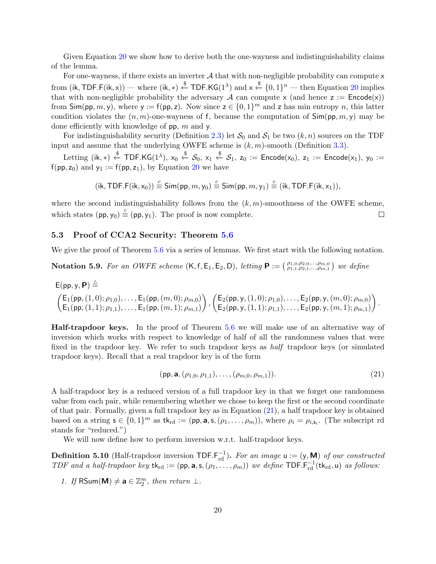Given Equation [20](#page-18-0) we show how to derive both the one-wayness and indistinguishability claims of the lemma.

For one-wayness, if there exists an inverter  $A$  that with non-negligible probability can compute  $x$ from (ik, TDF.F(ik, x)) — where (ik, \*)  $\xleftarrow{\$}$  TDF.KG(1<sup> $\lambda$ </sup>) and x  $\xleftarrow{\$}$  {0, 1}<sup>n</sup> — then Equation [20](#page-18-0) implies that with non-negligible probability the adversary A can compute x (and hence  $z :=$  Encode(x)) from  $\textsf{Sim}(pp, m, y)$ , where  $y := f(pp, z)$ . Now since  $z \in \{0, 1\}^m$  and z has min entropy n, this latter condition violates the  $(n, m)$ -one-wayness of f, because the computation of  $\textsf{Sim}(pp, m, y)$  may be done efficiently with knowledge of  $pp$ , m and y.

For indistinguishability security (Definition [2.3\)](#page-8-1) let  $S_0$  and  $S_1$  be two  $(k, n)$  sources on the TDF input and assume that the underlying OWFE scheme is  $(k, m)$ -smooth (Definition [3.3\)](#page-10-4).

 ${\rm Letting}\,\,({\sf i}{\sf k},*)\,\stackrel{\$}{\leftarrow}\,{\sf TDF}.\mathsf{KG}(1^\lambda),\,{\sf x}_0\stackrel{\$}{\leftarrow}\,\mathcal S_0,\,{\sf x}_1\stackrel{\$}{\leftarrow}\,\mathcal S_1,\,{\sf z}_0\,:=\,{\sf Encode}({\sf x}_0),\,{\sf z}_1\,:=\,{\sf Encode}({\sf x}_1),\,{\sf y}_0\,:=\,{\sf z}_0\,.$  $f(pp, z_0)$  and  $y_1 := f(pp, z_1)$ , by Equation [20](#page-18-0) we have

$$
(\mathsf{ik},\mathsf{TDF.F}(\mathsf{ik},\mathsf{x}_0)) \stackrel{c}{\equiv} \mathsf{Sim}(\mathsf{pp},m,\mathsf{y}_0) \stackrel{c}{\equiv} \mathsf{Sim}(\mathsf{pp},m,\mathsf{y}_1) \stackrel{c}{\equiv} (\mathsf{ik},\mathsf{TDF.F}(\mathsf{ik},\mathsf{x}_1)),
$$

where the second indistinguishability follows from the  $(k, m)$ -smoothness of the OWFE scheme, which states  $(pp, y_0) \stackrel{c}{\equiv} (pp, y_1)$ . The proof is now complete.  $\Box$ 

#### 5.3 Proof of CCA2 Security: Theorem [5.6](#page-17-1)

We give the proof of Theorem [5.6](#page-17-1) via a series of lemmas. We first start with the following notation.

<span id="page-19-1"></span>**Notation 5.9.** For an OWFE scheme  $(K, f, E_1, E_2, D)$ , letting  $P := \begin{pmatrix} \rho_{1,0}, \rho_{2,0}, ..., \rho_{m,0} \\ \rho_{1,1}, \rho_{2,1}, ..., \rho_{m,1} \end{pmatrix}$  we define

$$
\mathsf{E}(pp,\mathbf{y},\mathbf{P}) \stackrel{\triangle}{=} \left(\begin{matrix} \mathsf{E}_1(\mathsf{pp},(1,0);\rho_{1,0}),\ldots,\mathsf{E}_1(\mathsf{pp},(m,0);\rho_{m,0})\\ \mathsf{E}_1(\mathsf{pp},(1,1);\rho_{1,1}),\ldots,\mathsf{E}_1(\mathsf{pp},(m,1);\rho_{m,1}) \end{matrix}\right), \left(\begin{matrix} \mathsf{E}_2(\mathsf{pp},\mathsf{y},(1,0);\rho_{1,0}),\ldots,\mathsf{E}_2(\mathsf{pp},\mathsf{y},(m,0);\rho_{m,0})\\ \mathsf{E}_2(\mathsf{pp},\mathsf{y},(1,1);\rho_{1,1}),\ldots,\mathsf{E}_2(\mathsf{pp},\mathsf{y},(m,1);\rho_{m,1}) \end{matrix}\right)
$$

Half-trapdoor keys. In the proof of Theorem [5.6](#page-17-1) we will make use of an alternative way of inversion which works with respect to knowledge of half of all the randomness values that were fixed in the trapdoor key. We refer to such trapdoor keys as half trapdoor keys (or simulated trapdoor keys). Recall that a real trapdoor key is of the form

<span id="page-19-0"></span>
$$
(\mathsf{pp}, \mathbf{a}, (\rho_{1,0}, \rho_{1,1}), \dots, (\rho_{m,0}, \rho_{m,1})). \tag{21}
$$

.

A half-trapdoor key is a reduced version of a full trapdoor key in that we forget one randomness value from each pair, while remembering whether we chose to keep the first or the second coordinate of that pair. Formally, given a full trapdoor key as in Equation [\(21\)](#page-19-0), a half trapdoor key is obtained based on a string  $\mathbf{s} \in \{0,1\}^m$  as  $\mathsf{tk}_{\text{rd}} := (\mathsf{pp}, \mathsf{a}, \mathsf{s}, (\rho_1, \ldots, \rho_m)),$  where  $\rho_i = \rho_{i,\mathsf{s}_i}$ . (The subscript rd stands for "reduced.")

We will now define how to perform inversion w.r.t. half-trapdoor keys.

**Definition 5.10** (Half-trapdoor inversion  $\text{TOF.F}_{rd}^{-1}$ ). For an image  $u := (y, M)$  of our constructed TDF and a half-trapdoor key  $tk_{rd} := (pp, a, s, (\rho_1, \ldots, \rho_m))$  we define TDF.F<sup>-1</sup><sub>rd</sub> $(tk_{rd}, u)$  as follows:

1. If  $\textsf{RSum}(\textbf{M}) \neq \textbf{a} \in \mathbb{Z}_2^m$ , then return  $\perp$ .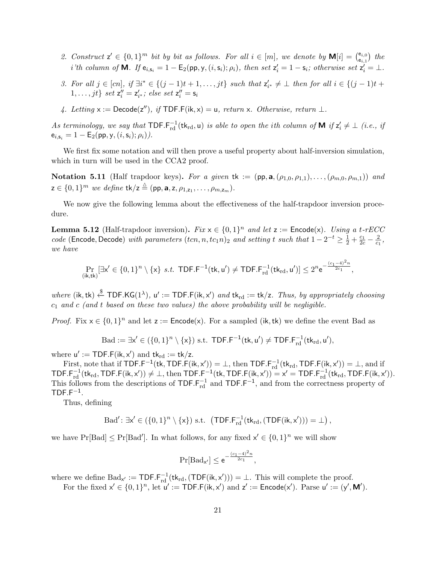- 2. Construct  $\mathsf{z}' \in \{0,1\}^m$  bit by bit as follows. For all  $i \in [m]$ , we denote by  $\mathsf{M}[i] = \begin{pmatrix} \mathsf{e}_{i,0} \\ \mathsf{e}_{i,1} \end{pmatrix}$  $\begin{array}{c} {\bf e}_{i,0}\ {\bf e}_{i,1} \end{array}$  the i'th column of **M**. If  $e_{i,s_i} = 1 - E_2(pp,y,(i,s_i); \rho_i)$ , then set  $z'_i = 1 - s_i$ ; otherwise set  $z'_i = \bot$ .
- 3. For all  $j \in [cn]$ , if  $\exists i^* \in \{(j-1)t+1,\ldots, jt\}$  such that  $z'_{i^*} \neq \bot$  then for all  $i \in \{(j-1)t+1,\ldots, jt\}$  $1, \ldots, jt\}$  set  $z_i'' = z_{i^*}'$ ; else set  $z_i'' = s_i$
- 4. Letting  $x := \text{Decode}(z'')$ , if TDF.F(ik, x) = u, return x. Otherwise, return  $\perp$ .

As terminology, we say that  $\textsf{TDF.F}_{rd}^{-1}(\mathsf{tk}_{rd},\mathsf{u})$  is able to open the ith column of  $\textsf{M}$  if  $\mathsf{z}_i' \neq \bot$  (i.e., if  $e_{i,s_i} = 1 - E_2(pp,y,(i,s_i); \rho_i)).$ 

We first fix some notation and will then prove a useful property about half-inversion simulation, which in turn will be used in the CCA2 proof.

<span id="page-20-0"></span>Notation 5.11 (Half trapdoor keys). For a given tk :=  $(pp, a, (\rho_{1,0}, \rho_{1,1}), \ldots, (\rho_{m,0}, \rho_{m,1}))$  and  $z \in \{0,1\}^m$  we define  $\mathsf{tk}/z \stackrel{\triangle}{=} (\mathsf{pp}, \mathsf{a}, z, \rho_{1,z_1}, \ldots, \rho_{m,z_m}).$ 

We now give the following lemma about the effectiveness of the half-trapdoor inversion procedure.

<span id="page-20-1"></span>**Lemma 5.12** (Half-trapdoor inversion). Fix  $x \in \{0, 1\}^n$  and let  $z :=$  Encode(x). Using a t-rECC code (Encode, Decode) with parameters  $(tcn, n, tc_1n)_2$  and setting t such that  $1 - 2^{-t} \ge \frac{1}{2} + \frac{c_1}{2c} - \frac{2}{c_1}$  $\frac{2}{c_1}$ we have

$$
\Pr_{(\mathsf{ik},\mathsf{tk})}[\exists \mathsf{x}'\in\{0,1\}^n\setminus\{\mathsf{x}\}\ s.t.\ \mathsf{TDF}.\mathsf{F}^{-1}(\mathsf{tk},\mathsf{u}')\neq\mathsf{TDF}.\mathsf{F}_{\rm rd}^{-1}(\mathsf{tk}_{\rm rd},\mathsf{u}')]\leq 2^n\mathsf{e}^{-\frac{(c_1-4)^2n}{2c_1}},
$$

where  $(ik, tk) \stackrel{\$}{\leftarrow} TDF.KG(1^{\lambda}), u' := TDF.F(ik, x')$  and  $tk_{rd} := tk/z$ . Thus, by appropriately choosing  $c_1$  and c (and t based on these two values) the above probability will be negligible.

*Proof.* Fix  $x \in \{0,1\}^n$  and let  $z :=$  Encode(x). For a sampled (ik, tk) we define the event Bad as

$$
\mathrm{Bad}:=\exists x'\in (\{0,1\}^n\setminus\{x\})\ \mathrm{s.t.}\ \mathsf{TDF}.\mathsf{F}^{-1}(\mathsf{t}\mathsf{k},\mathsf{u}')\neq\mathsf{TDF}.\mathsf{F}_{\mathrm{rd}}^{-1}(\mathsf{t}\mathsf{k}_{\mathrm{rd}},\mathsf{u}'),
$$

where  $u' := \textsf{TDF.F}(\mathsf{ik}, x')$  and  $\mathsf{tk}_{\text{rd}} := \mathsf{tk}/z$ .

First, note that if  $\textsf{TDF.F}^{-1}(\textsf{tk},\textsf{TDF.F}(\textsf{ik},\textsf{x}')) = \bot$ , then  $\textsf{TDF.F}^{-1}_{\text{rd}}(\textsf{tk}_{\textsf{rd}},\textsf{TDF.F}(\textsf{ik},\textsf{x}')) = \bot$ , and if TDF.F<sup>-1</sup>(tk<sub>rd</sub>,TDF.F(ik,x'))  $\neq \bot$ , then TDF.F<sup>-1</sup>(tk,TDF.F(ik,x')) = x' = TDF.F<sub>rd</sub><sup>1</sup>(tk<sub>rd</sub>,TDF.F(ik,x')). This follows from the descriptions of  $TDF.F_{rd}^{-1}$  and  $TDF.F^{-1}$ , and from the correctness property of  $TDF.F^{-1}$ .

Thus, defining

$$
\text{Bad}' \colon \exists x' \in (\{0,1\}^n \setminus \{x\}) \text{ s.t. } (\mathsf{TDF.F}_{rd}^{-1}(\mathsf{tk}_{rd}, (\mathsf{TDF}(\mathsf{ik}, x'))) = \bot),
$$

we have  $Pr[Bad] \leq Pr[Bad']$ . In what follows, for any fixed  $x' \in \{0,1\}^n$  we will show

$$
\Pr[{\rm Bad}_{x'}] \leq e^{-\frac{(c_1-4)^2n}{2c_1}},
$$

where we define  $Bad_{x'} := TDF.F_{rd}^{-1}(tk_{rd}, (TDF(ik, x'))) = \bot$ . This will complete the proof.

For the fixed  $x' \in \{0,1\}^n$ , let  $u' := \text{TDF.F}(ik, x')$  and  $z' := \text{Encode}(x')$ . Parse  $u' := (y', M')$ .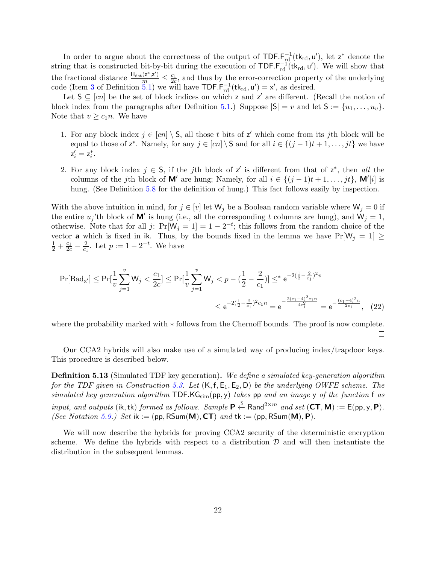In order to argue about the correctness of the output of  $\text{TDF.F}_{\text{rd}}^{-1}(\text{tk}_{\text{rd}}, u')$ , let  $z^*$  denote the string that is constructed bit-by-bit during the execution of  $\text{TOF.F}_{rd}^{-1}(tk_{rd}, u')$ . We will show that the fractional distance  $\frac{H_{dst}(z^*,z')}{m} \leq \frac{c_1}{2c}$ , and thus by the error-correction property of the underlying code (Item [3](#page-15-4) of Definition [5.1\)](#page-15-0) we will have  $\text{TOF.F}_{rd}^{-1}(\text{tk}_{rd}, \text{u}') = x'$ , as desired.

Let  $S \subseteq [cn]$  be the set of block indices on which z and z' are different. (Recall the notion of block index from the paragraphs after Definition [5.1.](#page-15-0)) Suppose  $|S| = v$  and let  $S := \{u_1, \ldots, u_v\}$ . Note that  $v \geq c_1 n$ . We have

- 1. For any block index  $j \in [cn] \setminus S$ , all those t bits of z' which come from its jth block will be equal to those of  $z^*$ . Namely, for any  $j \in [cn] \setminus S$  and for all  $i \in \{(j-1)t+1,\ldots,jt\}$  we have  $z'_i = z^*_i.$
- 2. For any block index  $j \in S$ , if the jth block of z' is different from that of z<sup>\*</sup>, then all the columns of the jth block of **M'** are hung; Namely, for all  $i \in \{(j-1)t+1,\ldots,jt\}$ , **M'**[i] is hung. (See Definition [5.8](#page-18-1) for the definition of hung.) This fact follows easily by inspection.

With the above intuition in mind, for  $j \in [v]$  let  $W_j$  be a Boolean random variable where  $W_j = 0$  if the entire  $u_j$ 'th block of **M'** is hung (i.e., all the corresponding t columns are hung), and  $\mathbf{W}_j = 1$ , otherwise. Note that for all j:  $Pr[W_j = 1] = 1 - 2^{-t}$ ; this follows from the random choice of the vector **a** which is fixed in ik. Thus, by the bounds fixed in the lemma we have  $Pr[W_j = 1] \ge$  $rac{1}{2} + \frac{c_1}{2c} - \frac{2}{c_1}$  $\frac{2}{c_1}$ . Let  $p := 1 - 2^{-t}$ . We have

$$
\Pr[\text{Bad}_{x'}] \le \Pr[\frac{1}{v} \sum_{j=1}^{v} W_j < \frac{c_1}{2c}] \le \Pr[\frac{1}{v} \sum_{j=1}^{v} W_j < p - (\frac{1}{2} - \frac{2}{c_1})] \le \epsilon^{-2(\frac{1}{2} - \frac{2}{c_1})^2 v} \le \epsilon^{-2(\frac{1}{2} - \frac{2}{c_1})^2 c_1 n} = \epsilon^{-\frac{2(c_1 - 4)^2 c_1 n}{4c_1^2}} = \epsilon^{-\frac{(c_1 - 4)^2 n}{2c_1}}, \quad (22)
$$

where the probability marked with ∗ follows from the Chernoff bounds. The proof is now complete.  $\Box$ 

Our CCA2 hybrids will also make use of a simulated way of producing index/trapdoor keys. This procedure is described below.

<span id="page-21-0"></span>**Definition 5.13** (Simulated TDF key generation). We define a simulated key-generation algorithm for the TDF given in Construction [5.3.](#page-16-3) Let  $(K, f, E_1, E_2, D)$  be the underlying OWFE scheme. The simulated key generation algorithm  $\text{TDF.KG}_{sim}(\text{pp}, \text{y})$  takes  $\text{pp}$  and an image y of the function f as input, and outputs (ik, tk) formed as follows. Sample  $\mathsf{P} \stackrel{\$}{\leftarrow}$  Rand<sup>2×m</sup> and set ( $\mathsf{CT}, \mathsf{M}$ ) := E(pp, y,  $\mathsf{P}$ ). (See Notation [5.9.](#page-19-1)) Set ik := (pp, RSum(M),  $CT$ ) and tk := (pp, RSum(M), P).

We will now describe the hybrids for proving CCA2 security of the deterministic encryption scheme. We define the hybrids with respect to a distribution  $D$  and will then instantiate the distribution in the subsequent lemmas.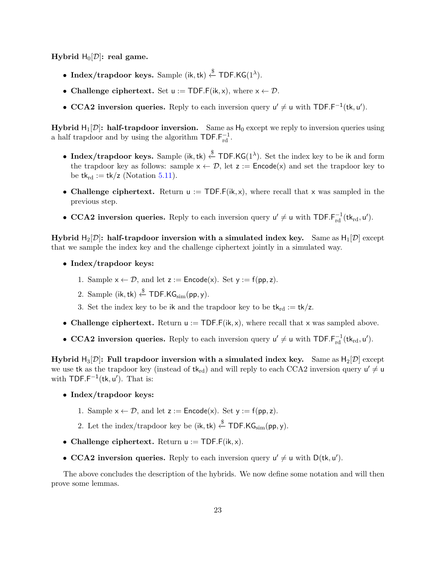Hybrid  $H_0[D]$ : real game.

- Index/trapdoor keys. Sample (ik, tk)  $\xleftarrow{\$}$  TDF.KG(1<sup> $\lambda$ </sup>).
- Challenge ciphertext. Set  $u := \text{TDF.F}(ik, x)$ , where  $x \leftarrow \mathcal{D}$ .
- CCA2 inversion queries. Reply to each inversion query  $u' \neq u$  with TDF.F<sup>-1</sup>(tk, u').

**Hybrid H<sub>1</sub>[D]: half-trapdoor inversion.** Same as  $H_0$  except we reply to inversion queries using a half trapdoor and by using the algorithm  $\text{TDF.F}^{-1}_{\text{rd}}$ .

- Index/trapdoor keys. Sample (ik, tk)  $\xi$  TDF.KG(1<sup> $\lambda$ </sup>). Set the index key to be ik and form the trapdoor key as follows: sample  $x \leftarrow \mathcal{D}$ , let  $z :=$  Encode(x) and set the trapdoor key to be  $tk_{rd} := tk/z$  (Notation [5.11\)](#page-20-0).
- Challenge ciphertext. Return  $u := TDF.F(ik, x)$ , where recall that x was sampled in the previous step.
- CCA2 inversion queries. Reply to each inversion query  $u' \neq u$  with TDF. $F_{rd}^{-1}(tk_{rd}, u')$ .

Hybrid  $H_2[D]$ : half-trapdoor inversion with a simulated index key. Same as  $H_1[D]$  except that we sample the index key and the challenge ciphertext jointly in a simulated way.

- Index/trapdoor keys:
	- 1. Sample  $x \leftarrow \mathcal{D}$ , and let  $z :=$  Encode(x). Set  $y := f(p, z)$ .
	- 2. Sample (ik, tk)  $\xleftarrow{\$} \mathsf{TDF}.\mathsf{KG}_{\mathrm{sim}}(\mathsf{pp}, \mathsf{y}).$
	- 3. Set the index key to be ik and the trapdoor key to be  $tk_{rd} := tk/z$ .
- Challenge ciphertext. Return  $u := \text{TOF.F}(ik, x)$ , where recall that x was sampled above.
- CCA2 inversion queries. Reply to each inversion query  $u' \neq u$  with TDF. $F_{rd}^{-1}(tk_{rd}, u')$ .

Hybrid  $H_3[D]$ : Full trapdoor inversion with a simulated index key. Same as  $H_2[D]$  except we use tk as the trapdoor key (instead of  $tk_{rd}$ ) and will reply to each CCA2 inversion query  $u' \neq u$ with  $\text{TOF.F}^{-1}(\text{tk}, \text{u}^{\prime})$ . That is:

- Index/trapdoor keys:
	- 1. Sample  $x \leftarrow \mathcal{D}$ , and let  $z :=$  Encode(x). Set  $y := f(p, z)$ .
	- 2. Let the index/trapdoor key be (ik, tk)  $\xleftarrow{\$}$  TDF.KG<sub>sim</sub>(pp, y).
- Challenge ciphertext. Return  $u := \text{TDF.F}(ik, x)$ .
- CCA2 inversion queries. Reply to each inversion query  $u' \neq u$  with  $D(\mathsf{tk}, u')$ .

The above concludes the description of the hybrids. We now define some notation and will then prove some lemmas.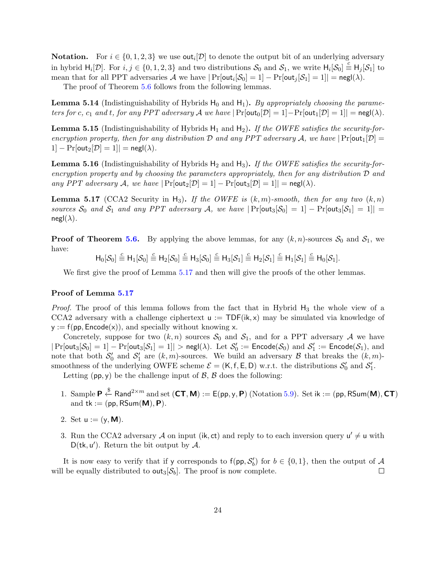**Notation.** For  $i \in \{0, 1, 2, 3\}$  we use  $\text{out}_i[\mathcal{D}]$  to denote the output bit of an underlying adversary in hybrid  $H_i[\mathcal{D}]$ . For  $i, j \in \{0, 1, 2, 3\}$  and two distributions  $\mathcal{S}_0$  and  $\mathcal{S}_1$ , we write  $H_i[\mathcal{S}_0] \equiv H_j[\mathcal{S}_1]$  to mean that for all PPT adversaries A we have  $|\Pr[\text{out}_i[\mathcal{S}_0] = 1] - \Pr[\text{out}_j[\mathcal{S}_1] = 1]| = \text{negl}(\lambda)$ .

The proof of Theorem [5.6](#page-17-1) follows from the following lemmas.

<span id="page-23-1"></span>**Lemma 5.14** (Indistinguishability of Hybrids  $H_0$  and  $H_1$ ). By appropriately choosing the parameters for c, c<sub>1</sub> and t, for any PPT adversary A we have  $|\Pr[\text{out}_0[\mathcal{D}] = 1] - \Pr[\text{out}_1[\mathcal{D}] = 1]| = \text{negl}(\lambda)$ .

<span id="page-23-2"></span>**Lemma 5.15** (Indistinguishability of Hybrids  $H_1$  and  $H_2$ ). If the OWFE satisfies the security-forencryption property, then for any distribution  $D$  and any PPT adversary  $A$ , we have  $|Pr[out_1[D] =$  $1] - Pr[out_2[\mathcal{D}] = 1]| = negl(\lambda).$ 

<span id="page-23-3"></span>**Lemma 5.16** (Indistinguishability of Hybrids  $H_2$  and  $H_3$ ). If the OWFE satisfies the security-forencryption property and by choosing the parameters appropriately, then for any distribution  $\mathcal D$  and any PPT adversary A, we have  $|\Pr[\text{out}_2[\mathcal{D}] = 1] - \Pr[\text{out}_3[\mathcal{D}] = 1]| = \text{negl}(\lambda)$ .

<span id="page-23-0"></span>**Lemma 5.17** (CCA2 Security in H<sub>3</sub>). If the OWFE is  $(k, m)$ -smooth, then for any two  $(k, n)$ sources  $S_0$  and  $S_1$  and any PPT adversary A, we have  $|\Pr[\text{out}_3|S_0] = 1] - \Pr[\text{out}_3|S_1] = 1|$  $negl(\lambda)$ .

**Proof of Theorem [5.6.](#page-17-1)** By applying the above lemmas, for any  $(k, n)$ -sources  $S_0$  and  $S_1$ , we have:

 $H_0[\mathcal{S}_0] \stackrel{c}{\equiv} H_1[\mathcal{S}_0] \stackrel{c}{\equiv} H_2[\mathcal{S}_0] \stackrel{c}{\equiv} H_3[\mathcal{S}_0] \stackrel{c}{\equiv} H_3[\mathcal{S}_1] \stackrel{c}{\equiv} H_2[\mathcal{S}_1] \stackrel{c}{\equiv} H_1[\mathcal{S}_1] \stackrel{c}{\equiv} H_0[\mathcal{S}_1]$ 

We first give the proof of Lemma [5.17](#page-23-0) and then will give the proofs of the other lemmas.

#### Proof of Lemma [5.17](#page-23-0)

*Proof.* The proof of this lemma follows from the fact that in Hybrid  $H_3$  the whole view of a CCA2 adversary with a challenge ciphertext  $u := TDF(ik, x)$  may be simulated via knowledge of  $y := f(pp, \text{Encode}(x))$ , and specially without knowing x.

Concretely, suppose for two  $(k, n)$  sources  $S_0$  and  $S_1$ , and for a PPT adversary A we have  $|\Pr[\mathsf{out}_3[\mathcal{S}_0] = 1] - \Pr[\mathsf{out}_3[\mathcal{S}_1] = 1]| > \mathsf{negl}(\lambda)$ . Let  $\mathcal{S}'_0 := \mathsf{Encode}(\mathcal{S}_0)$  and  $\mathcal{S}'_1 := \mathsf{Encode}(\mathcal{S}_1)$ , and note that both  $S'_0$  and  $S'_1$  are  $(k,m)$ -sources. We build an adversary  $\mathcal B$  that breaks the  $(k,m)$ smoothness of the underlying OWFE scheme  $\mathcal{E} = (\mathsf{K}, \mathsf{f}, \mathsf{E}, \mathsf{D})$  w.r.t. the distributions  $\mathcal{S}'_0$  and  $\mathcal{S}'_1$ .

Letting  $(pp, y)$  be the challenge input of  $\beta$ ,  $\beta$  does the following:

- 1. Sample  $\mathsf{P} \stackrel{\$}{\leftarrow} \text{Rand}^{2\times m}$  and set  $(\mathsf{CT}, \mathsf{M}) := \mathsf{E}(p p, y, \mathsf{P})$  (Notation [5.9\)](#page-19-1). Set ik := (pp, RSum(M),  $\mathsf{CT}$ ) and  $tk := (pp, RSum(M), P)$ .
- 2. Set  $u := (y, M)$ .
- 3. Run the CCA2 adversary A on input (ik, ct) and reply to to each inversion query  $u' \neq u$  with  $D$ (tk, u'). Return the bit output by  $\mathcal{A}$ .

It is now easy to verify that if y corresponds to  $f(p, \mathcal{S}'_b)$  for  $b \in \{0, 1\}$ , then the output of A will be equally distributed to out<sub>3</sub>[ $\mathcal{S}_b$ ]. The proof is now complete.  $\Box$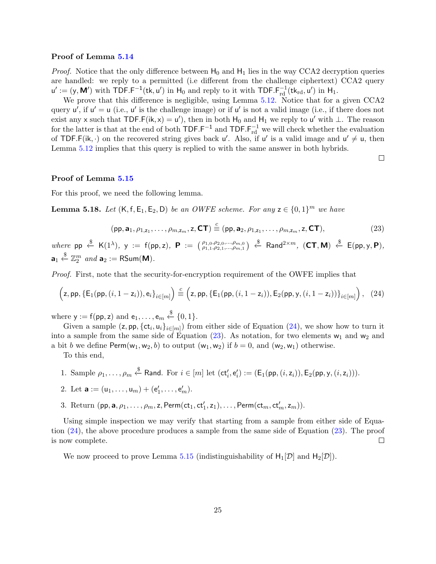#### Proof of Lemma [5.14](#page-23-1)

*Proof.* Notice that the only difference between  $H_0$  and  $H_1$  lies in the way CCA2 decryption queries are handled: we reply to a permitted (i.e different from the challenge ciphertext) CCA2 query  $u' := (y, M')$  with TDF.F<sup>-1</sup>(tk, u') in H<sub>0</sub> and reply to it with TDF.F<sub>rd</sub><sup>1</sup>(tk<sub>rd</sub>, u') in H<sub>1</sub>.

We prove that this difference is negligible, using Lemma [5.12.](#page-20-1) Notice that for a given CCA2 query  $u'$ , if  $u' = u$  (i.e.,  $u'$  is the challenge image) or if  $u'$  is not a valid image (i.e., if there does not exist any x such that  $\mathsf{TDF.F}(ik, x) = u'$ , then in both  $H_0$  and  $H_1$  we reply to u' with  $\perp$ . The reason for the latter is that at the end of both  $\text{TDF.F}^{-1}$  and  $\text{TDF.F}^{-1}_{rd}$  we will check whether the evaluation of TDF.F(ik,  $\cdot$ ) on the recovered string gives back  $u'$ . Also, if  $u'$  is a valid image and  $u' \neq u$ , then Lemma [5.12](#page-20-1) implies that this query is replied to with the same answer in both hybrids.

 $\Box$ 

#### Proof of Lemma [5.15](#page-23-2)

For this proof, we need the following lemma.

<span id="page-24-2"></span>**Lemma 5.18.** Let  $(K, f, E_1, E_2, D)$  be an OWFE scheme. For any  $z \in \{0, 1\}^m$  we have

<span id="page-24-1"></span>
$$
(\mathsf{pp}, \mathbf{a}_1, \rho_{1,\mathsf{z}_1}, \dots, \rho_{m,\mathsf{z}_m}, \mathsf{z}, \mathsf{CT}) \stackrel{c}{\equiv} (\mathsf{pp}, \mathbf{a}_2, \rho_{1,\mathsf{z}_1}, \dots, \rho_{m,\mathsf{z}_m}, \mathsf{z}, \mathsf{CT}), \tag{23}
$$

where  $pp \stackrel{\$}{\leftarrow} K(1^{\lambda}), \; y := f(pp, z), \; \mathbf{P} := \begin{pmatrix} \rho_{1,0}, \rho_{2,0}, \ldots, \rho_{m,0} \\ \rho_{1,1}, \rho_{2,1}, \ldots, \rho_{m,1} \end{pmatrix} \stackrel{\$}{\leftarrow} \text{Rand}^{2 \times m}, \; (\mathbf{CT}, \mathbf{M}) \stackrel{\$}{\leftarrow} E(pp, y, \mathbf{P}),$  $\mathbf{a}_1 \overset{\$}{\leftarrow} \mathbb{Z}_2^m$  and  $\mathbf{a}_2 := \mathsf{RSum}(\mathsf{M}).$ 

Proof. First, note that the security-for-encryption requirement of the OWFE implies that

<span id="page-24-0"></span>
$$
\left(z, \mathsf{pp}, \{\mathsf{E}_1(\mathsf{pp}, (i, 1 - z_i)), \mathsf{e}_i\}_{i \in [m]}\right) \stackrel{c}{=} \left(z, \mathsf{pp}, \{\mathsf{E}_1(\mathsf{pp}, (i, 1 - z_i)), \mathsf{E}_2(\mathsf{pp}, \mathsf{y}, (i, 1 - z_i))\}_{i \in [m]}\right), \tag{24}
$$

where  $y := f(pp, z)$  and  $e_1, \ldots, e_m \stackrel{\$}{\leftarrow} \{0, 1\}.$ 

Given a sample  $(z, pp, \{ct_i, u_i\}_{i \in [m]})$  from either side of Equation  $(24)$ , we show how to turn it into a sample from the same side of Equation  $(23)$ . As notation, for two elements w<sub>1</sub> and w<sub>2</sub> and a bit b we define  $\text{Perm}(w_1, w_2, b)$  to output  $(w_1, w_2)$  if  $b = 0$ , and  $(w_2, w_1)$  otherwise.

To this end,

1. Sample 
$$
\rho_1, \ldots, \rho_m \stackrel{\$}{\leftarrow} \mathsf{Rand}
$$
. For  $i \in [m]$  let  $(\mathsf{ct}'_i, \mathsf{e}'_i) := (\mathsf{E}_1(\mathsf{pp}, (i, z_i)), \mathsf{E}_2(\mathsf{pp}, y, (i, z_i))).$ 

2. Let **a** := 
$$
(u_1, ..., u_m) + (e'_1, ..., e'_m)
$$
.

3. Return  $(\mathsf{pp}, \mathbf{a}, \rho_1, \ldots, \rho_m, \mathsf{z}, \mathsf{Perm}(\mathsf{ct}_1, \mathsf{ct}_1', \mathsf{z}_1), \ldots, \mathsf{Perm}(\mathsf{ct}_m, \mathsf{ct}_m', \mathsf{z}_m)).$ 

Using simple inspection we may verify that starting from a sample from either side of Equation [\(24\)](#page-24-0), the above procedure produces a sample from the same side of Equation [\(23\)](#page-24-1). The proof is now complete.  $\Box$ 

We now proceed to prove Lemma [5.15](#page-23-2) (indistinguishability of  $H_1[\mathcal{D}]$  and  $H_2[\mathcal{D}]$ ).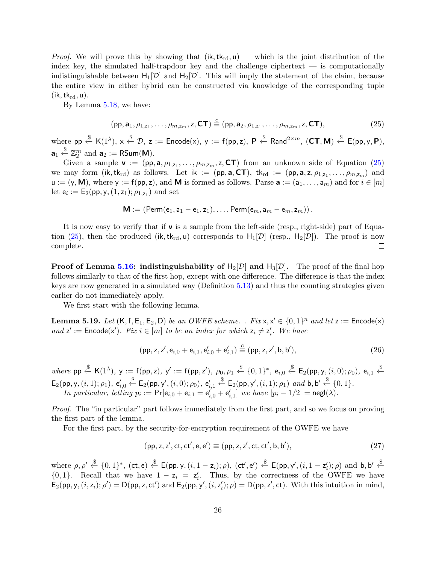*Proof.* We will prove this by showing that  $(ik, tk_{rd}, u)$  — which is the joint distribution of the index key, the simulated half-trapdoor key and the challenge ciphertext — is computationally indistinguishable between  $H_1[\mathcal{D}]$  and  $H_2[\mathcal{D}]$ . This will imply the statement of the claim, because the entire view in either hybrid can be constructed via knowledge of the corresponding tuple  $(ik, tk_{rd}, u)$ .

By Lemma [5.18,](#page-24-2) we have:

<span id="page-25-0"></span>
$$
(\mathsf{pp}, \mathbf{a}_1, \rho_{1,\mathsf{z}_1}, \dots, \rho_{m,\mathsf{z}_m}, \mathsf{z}, \mathsf{CT}) \stackrel{c}{\equiv} (\mathsf{pp}, \mathbf{a}_2, \rho_{1,\mathsf{z}_1}, \dots, \rho_{m,\mathsf{z}_m}, \mathsf{z}, \mathsf{CT}), \tag{25}
$$

where  $pp \stackrel{\$}{\leftarrow} K(1^{\lambda}), x \stackrel{\$}{\leftarrow} \mathcal{D}, z := \mathsf{Encode}(x), y := f(pp, z), \ \mathsf{P} \stackrel{\$}{\leftarrow} \mathsf{Rand}^{2 \times m}, (\mathsf{CT}, \mathsf{M}) \stackrel{\$}{\leftarrow} \mathsf{E}(pp, y, \mathsf{P}),$  $\mathbf{a}_1 \overset{\$}{\leftarrow} \mathbb{Z}_2^m$  and  $\mathbf{a}_2 := \mathsf{RSum}(\mathsf{M}).$ 

Given a sample  $\mathbf{v} := (pp, \mathbf{a}, \rho_{1, z_1}, \dots, \rho_{m, z_m}, \mathbf{z}, \mathbf{CT})$  from an unknown side of Equation [\(25\)](#page-25-0) we may form (ik,  $tk_{rd}$ ) as follows. Let ik := (pp,  $a, CT$ ),  $tk_{rd}$  := (pp,  $a, z, \rho_{1,z_1}, \ldots, \rho_{m,z_m}$ ) and  $u := (y, M)$ , where  $y := f(pp, z)$ , and M is formed as follows. Parse  $a := (a_1, \ldots, a_m)$  and for  $i \in [m]$ let  $e_i := E_2(pp, y, (1, z_1); \rho_{1, z_1})$  and set

$$
\mathbf{M} := \left(\mathsf{Perm}(e_1, a_1 - e_1, z_1), \ldots, \mathsf{Perm}(e_m, a_m - e_m, z_m)\right).
$$

It is now easy to verify that if  $\bf{v}$  is a sample from the left-side (resp., right-side) part of Equa-tion [\(25\)](#page-25-0), then the produced (ik,  $tk_{rd}$ , u) corresponds to  $H_1[\mathcal{D}]$  (resp.,  $H_2[\mathcal{D}]$ ). The proof is now complete.  $\Box$ 

**Proof of Lemma [5.16:](#page-23-3) indistinguishability of**  $H_2[\mathcal{D}]$  **and**  $H_3[\mathcal{D}]$ **.** The proof of the final hop follows similarly to that of the first hop, except with one difference. The difference is that the index keys are now generated in a simulated way (Definition [5.13\)](#page-21-0) and thus the counting strategies given earlier do not immediately apply.

We first start with the following lemma.

<span id="page-25-3"></span>**Lemma 5.19.** Let  $(K, f, E_1, E_2, D)$  be an OWFE scheme. . Fix  $x, x' \in \{0, 1\}^n$  and let  $z :=$  Encode $(x)$ and  $z' :=$  Encode(x'). Fix  $i \in [m]$  to be an index for which  $z_i \neq z'_i$ . We have

<span id="page-25-2"></span>
$$
(\text{pp}, z, z', e_{i,0} + e_{i,1}, e'_{i,0} + e'_{i,1}) \stackrel{c}{=} (\text{pp}, z, z', \text{b}, \text{b}'),
$$
\n(26)

 $where \text{ pp} \stackrel{\$}{\leftarrow} \text{K}(1^{\lambda}), \text{ y} := \text{f(\text{pp}, z)}, \text{ y}' := \text{f(\text{pp}, z'), } \rho_0, \rho_1 \stackrel{\$}{\leftarrow} \{0, 1\}^*, \text{ e}_{i, 0} \stackrel{\$}{\leftarrow} \text{E}_2(\text{pp}, \text{y}, (i, 0); \rho_0), \text{ e}_{i, 1} \stackrel{\$}{\leftarrow}$  $\mathsf{E}_2(\mathsf{pp}, \mathsf{y}, (i, 1); \rho_1), \, \mathsf{e}'_{i, 0}$  $\xleftarrow{\$}$  E<sub>2</sub>(pp, y',  $(i, 0)$ ;  $\rho_0$ ), e'<sub>i,1</sub>  $\xleftarrow{\$}$   $\mathsf{E}_2(\mathsf{pp}, \mathsf{y}', (i, 1); \rho_1)$  and  $\mathsf{b}, \mathsf{b}' \xleftarrow{\$} \{0, 1\}.$ In particular, letting  $p_i := \Pr[e_{i,0} + e_{i,1} = e'_{i,0} + e'_{i,1}]$  we have  $|p_i - 1/2| = \mathsf{negl}(\lambda)$ .

Proof. The "in particular" part follows immediately from the first part, and so we focus on proving the first part of the lemma.

For the first part, by the security-for-encryption requirement of the OWFE we have

<span id="page-25-1"></span>
$$
(pp, z, z', ct, ct', e, e') \equiv (pp, z, z', ct, ct', b, b'), \qquad (27)
$$

where  $\rho, \rho' \stackrel{\$}{\leftarrow} \{0,1\}^*, \text{ (ct, e) } \stackrel{\$}{\leftarrow} E(\text{pp}, y, (i, 1 - z_i); \rho), \text{ (ct', e')} \stackrel{\$}{\leftarrow} E(\text{pp}, y', (i, 1 - z'_i); \rho) \text{ and } \text{b}, \text{b'} \stackrel{\$}{\leftarrow} E(\text{pp}, y', (i, 1 - z'_i); \rho)$  $\{0,1\}$ . Recall that we have  $1 - z_i = z'_i$ . Thus, by the correctness of the OWFE we have  $\mathsf{E}_2(\mathsf{pp}, \mathsf{y}, (i, \mathsf{z}_i); \rho') = \mathsf{D}(\mathsf{pp}, \mathsf{z}, \mathsf{ct}')$  and  $\mathsf{E}_2(\mathsf{pp}, \mathsf{y}', (i, \mathsf{z}'_i); \rho) = \mathsf{D}(\mathsf{pp}, \mathsf{z}', \mathsf{ct})$ . With this intuition in mind,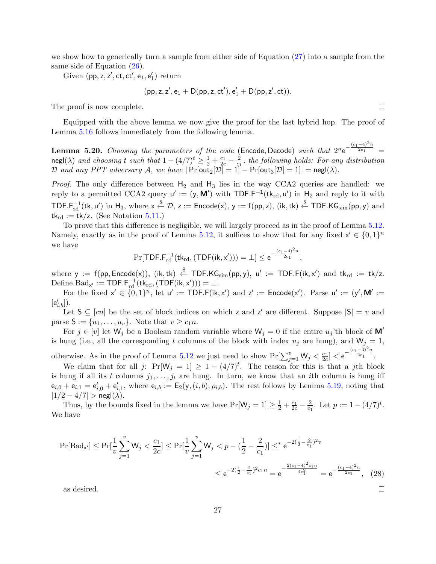we show how to generically turn a sample from either side of Equation [\(27\)](#page-25-1) into a sample from the same side of Equation  $(26)$ .

Given  $(pp, z, z', ct, ct', e_1, e'_1)$  return

$$
(\mathsf{pp},\mathsf{z},\mathsf{z}',\mathsf{e}_1+D(\mathsf{pp},\mathsf{z},\mathsf{ct}'),\mathsf{e}_1'+D(\mathsf{pp},\mathsf{z}',\mathsf{ct})).
$$

The proof is now complete.

Equipped with the above lemma we now give the proof for the last hybrid hop. The proof of Lemma [5.16](#page-23-3) follows immediately from the following lemma.

**Lemma 5.20.** Choosing the parameters of the code (Encode, Decode) such that  $2^n e^{-\frac{(c_1-4)^2n}{2c_1}}$  $\overline{a}$ <sup>2c<sub>1</sub></sub> =</sup> negl( $\lambda$ ) and choosing t such that  $1 - (4/7)^t \ge \frac{1}{2} + \frac{c_1}{2c} - \frac{2}{c_1}$  $\frac{2}{c_1}$ , the following holds: For any distribution  ${\cal D}$  and any PPT adversary  ${\cal A},$  we have  $|\Pr[\textsf{out}_2[{\cal D}]=1]-\Pr[\textsf{out}_3[{\cal D}]=1]|=\mathsf{negl}(\lambda).$ 

*Proof.* The only difference between  $H_2$  and  $H_3$  lies in the way CCA2 queries are handled: we reply to a permitted CCA2 query  $u' := (y, M')$  with TDF.F<sup>-1</sup>(tk<sub>rd</sub>, u') in H<sub>2</sub> and reply to it with  $\mathsf{TDF.F^{-1}_{rd}(tk,u')\text{ in }\mathsf{H}_3\text{, where }x\overset{\$}{\leftarrow}\mathcal{D}\text{, }z:=\mathsf{Encode}(x)\text{, }y:=\mathsf{f(pp,z)}\text{, }(\mathsf{ik},\mathsf{tk})\overset{\$}{\leftarrow}\mathsf{TDF.KG}_{\text{sim}}(\mathsf{pp},y)\text{ and }y$  $tk_{rd} := tk/z$ . (See Notation [5.11.](#page-20-0))

To prove that this difference is negligible, we will largely proceed as in the proof of Lemma [5.12.](#page-20-1) Namely, exactly as in the proof of Lemma [5.12,](#page-20-1) it suffices to show that for any fixed  $x' \in \{0,1\}^n$ we have

$$
\Pr[\mathsf{TDF.F}_{rd}^{-1}(tk_{rd},(\mathsf{TDF}(ik,x')))=\bot] \leq e^{-\frac{(c_1-4)^2n}{2c_1}},
$$

where  $y := f(pp, \textsf{Encode}(x)),$   $(ik, tk) \overset{\$}{\leftarrow} \textsf{TDF.KG}_{sim}(pp, y), u' := \textsf{TDF.F}(ik, x')$  and  $tk_{rd} := tk/z$ . Define  $\text{Bad}_{x'} := \text{TDF.F}_{rd}^{-1}(\text{tk}_{rd},(\text{TDF}(\text{ik}, x'))) = \bot.$ 

For the fixed  $x' \in \{0,1\}^n$ , let  $u' := \textsf{TDF.F}(ik, x')$  and  $z' := \textsf{Encode}(x')$ . Parse  $u' := (y', \mathbf{M}') :=$  $[e'_{i,b}])$ .

Let  $S \subseteq [cn]$  be the set of block indices on which z and z' are different. Suppose  $|S| = v$  and parse  $S := \{u_1, \ldots, u_v\}$ . Note that  $v \geq c_1 n$ .

For  $j \in [v]$  let  $W_j$  be a Boolean random variable where  $W_j = 0$  if the entire  $u_j$ 'th block of  $M'$ is hung (i.e., all the corresponding t columns of the block with index  $u_j$  are hung), and  $W_j = 1$ , otherwise. As in the proof of Lemma [5.12](#page-20-1) we just need to show  $Pr[\sum_{j=1}^{v} W_j < \frac{c_1}{2c}] < e^{-\frac{(c_1-4)^2n}{2c_1}}$  $\overline{\overline{2c_1}}$ .

We claim that for all j:  $Pr[W_j = 1] \ge 1 - (4/7)^t$ . The reason for this is that a jth block is hung if all its t columns  $j_1, \ldots, j_t$  are hung. In turn, we know that an ith column is hung iff  $e_{i,0} + e_{i,1} = e'_{i,0} + e'_{i,1}$ , where  $e_{i,b} := E_2(y,(i,b); \rho_{i,b})$ . The rest follows by Lemma [5.19,](#page-25-3) noting that  $|1/2 - 4/7| > \mathsf{negl}(\lambda)$ .

Thus, by the bounds fixed in the lemma we have  $Pr[W_j = 1] \ge \frac{1}{2} + \frac{c_1}{2c} - \frac{2}{c_1}$  $\frac{2}{c_1}$ . Let  $p := 1 - (4/7)^t$ . We have

$$
\Pr[\text{Bad}_{x'}] \le \Pr[\frac{1}{v} \sum_{j=1}^{v} W_j < \frac{c_1}{2c}] \le \Pr[\frac{1}{v} \sum_{j=1}^{v} W_j < p - (\frac{1}{2} - \frac{2}{c_1})] \le \epsilon e^{-2(\frac{1}{2} - \frac{2}{c_1})^2 v} \le e^{-2(\frac{1}{2} - \frac{2}{c_1})^2 c_1 n} = e^{-\frac{2(c_1 - 4)^2 c_1 n}{4c_1^2}} = e^{-\frac{(c_1 - 4)^2 n}{2c_1}}, \quad (28)
$$

as desired.

 $\Box$ 

 $\Box$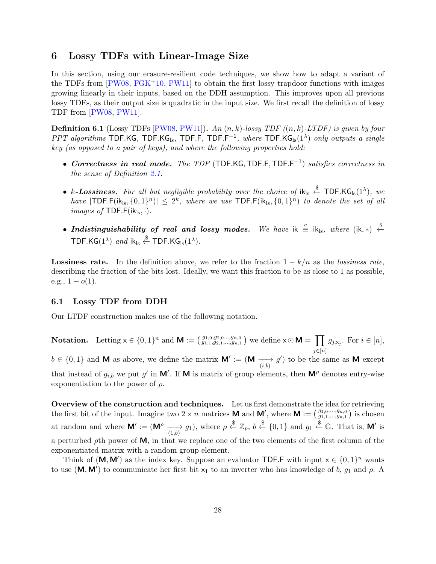### <span id="page-27-1"></span><span id="page-27-0"></span>6 Lossy TDFs with Linear-Image Size

In this section, using our erasure-resilient code techniques, we show how to adapt a variant of the TDFs from  $[PW08, FGK^+10, PW11]$  $[PW08, FGK^+10, PW11]$  $[PW08, FGK^+10, PW11]$  $[PW08, FGK^+10, PW11]$  $[PW08, FGK^+10, PW11]$  to obtain the first lossy trapdoor functions with images growing linearly in their inputs, based on the DDH assumption. This improves upon all previous lossy TDFs, as their output size is quadratic in the input size. We first recall the definition of lossy TDF from [\[PW08,](#page-33-1) [PW11\]](#page-33-2).

**Definition 6.1** (Lossy TDFs [\[PW08,](#page-33-1) [PW11\]](#page-33-2)). An  $(n, k)$ -lossy TDF  $((n, k)$ -LTDF) is given by four PPT algorithms TDF.KG, TDF.KG<sub>ls</sub>, TDF.F, TDF.F<sup>-1</sup>, where TDF.KG<sub>ls</sub>(1<sup> $\lambda$ </sup>) only outputs a single key (as opposed to a pair of keys), and where the following properties hold:

- Correctness in real mode. The TDF (TDF.KG, TDF.F, TDF.F<sup>-1</sup>) satisfies correctness in the sense of Definition [2.1.](#page-7-1)
- k-Lossiness. For all but negligible probability over the choice of  $ik_{\text{ls}} \overset{\$}{\leftarrow} \textsf{TDF.KG}_{\text{ls}}(1^{\lambda}),$  we have  $|TDF.F(ik_{ls}, \{0,1\}^n)| \leq 2^k$ , where we use  $TDF.F(ik_{ls}, \{0,1\}^n)$  to denote the set of all *images of* TDF.F( $ik_{ls}, \cdot$ ).
- Indistinguishability of real and lossy modes. We have ik  $\stackrel{c}{\equiv}$  ik<sub>ls</sub>, where (ik, \*)  $\stackrel{\$}{\leftarrow}$ TDF.KG $(1^{\lambda})$  and ik<sub>ls</sub>  $\stackrel{\$}{\leftarrow}$  TDF.KG<sub>ls</sub> $(1^{\lambda})$ .

**Lossiness rate.** In the definition above, we refer to the fraction  $1 - k/n$  as the lossiness rate, describing the fraction of the bits lost. Ideally, we want this fraction to be as close to 1 as possible, e.g.,  $1 - o(1)$ .

### 6.1 Lossy TDF from DDH

Our LTDF construction makes use of the following notation.

**Notation.** Letting  $x \in \{0,1\}^n$  and  $\mathbf{M} := \left(\begin{matrix} g_{1,0}, g_{2,0}, \ldots, g_{n,0} \\ g_{1,1}, g_{2,1}, \ldots, g_{n,1} \end{matrix}\right)$  we define  $x \odot \mathbf{M} = \prod g_{j, x_j}$ . For  $i \in [n]$ ,  $j \in [n]$ 

 $b \in \{0,1\}$  and M as above, we define the matrix  $\mathsf{M}' := (\mathsf{M} \xrightarrow[i,b] g')$  to be the same as M except that instead of  $g_{i,b}$  we put g' in M'. If M is matrix of group elements, then M<sup> $\rho$ </sup> denotes entry-wise  $\prime$ exponentiation to the power of  $\rho$ .

Overview of the construction and techniques. Let us first demonstrate the idea for retrieving the first bit of the input. Imagine two  $2 \times n$  matrices **M** and **M'**, where **M** :=  $\left(\begin{matrix} g_{1,0},...,g_{n,0} \\ g_{1,1},...,g_{n,1} \end{matrix}\right)$  is chosen at random and where  $\mathsf{M}' := (\mathsf{M}^\rho \longrightarrow g_1)$ , where  $\rho \stackrel{\$}{\leftarrow} \mathbb{Z}_p$ ,  $b \stackrel{\$}{\leftarrow} \{0,1\}$  and  $g_1 \stackrel{\$}{\leftarrow} \mathbb{G}$ . That is,  $\mathsf{M}'$  is a perturbed  $\rho$ th power of **M**, in that we replace one of the two elements of the first column of the exponentiated matrix with a random group element.

Think of  $(M, M')$  as the index key. Suppose an evaluator TDF.F with input  $x \in \{0, 1\}^n$  wants to use (M, M') to communicate her first bit  $x_1$  to an inverter who has knowledge of b,  $g_1$  and  $\rho$ . A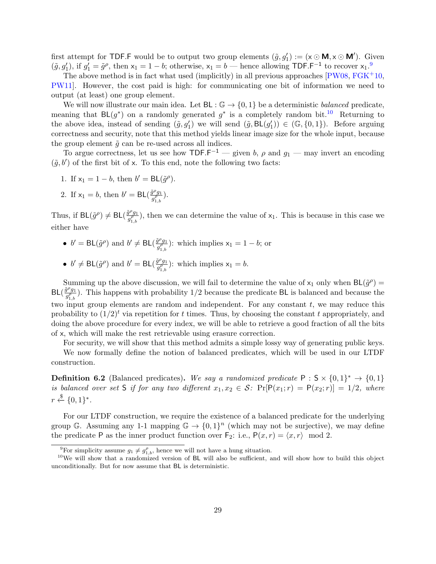<span id="page-28-3"></span>first attempt for TDF.F would be to output two group elements  $(\tilde{g}, g'_1) := (x \odot \mathbf{M}, x \odot \mathbf{M}')$ . Given  $(\tilde{g}, g'_1)$ , if  $g'_1 = \tilde{g}^\rho$ , then  $x_1 = 1 - b$ ; otherwise,  $x_1 = b$  — hence allowing TDF.F<sup>-1</sup> to recover  $x_1$ .<sup>[9](#page-28-0)</sup>

The above method is in fact what used (implicitly) in all previous approaches  $[PW08, FGK^+10,$  $[PW08, FGK^+10,$  $[PW08, FGK^+10,$  $[PW08, FGK^+10,$ [PW11\]](#page-33-2). However, the cost paid is high: for communicating one bit of information we need to output (at least) one group element.

We will now illustrate our main idea. Let  $BL : \mathbb{G} \to \{0,1\}$  be a deterministic *balanced* predicate. meaning that  $BL(g^*)$  on a randomly generated  $g^*$  is a completely random bit.<sup>[10](#page-28-1)</sup> Returning to the above idea, instead of sending  $(\tilde{g}, g'_1)$  we will send  $(\tilde{g}, BL(g'_1)) \in (\mathbb{G}, \{0,1\})$ . Before arguing correctness and security, note that this method yields linear image size for the whole input, because the group element  $\tilde{g}$  can be re-used across all indices.

To argue correctness, let us see how  $\text{TDF.F}^{-1}$  — given b,  $\rho$  and  $g_1$  — may invert an encoding  $(\tilde{g}, b')$  of the first bit of x. To this end, note the following two facts:

- 1. If  $x_1 = 1 b$ , then  $b' = BL(\tilde{g}^{\rho})$ .
- 2. If  $x_1 = b$ , then  $b' = BL(\frac{\tilde{g}^{\rho}g_1}{\rho^{\rho}})$  $\frac{g^{\rho}g_{1}}{g_{1,b}^{\rho}}).$

Thus, if  $BL(\tilde{g}^{\rho}) \neq BL(\frac{\tilde{g}^{\rho}g_1}{\rho^{\rho}})$  $\frac{g^{\nu}g_1}{g_{1,b}^{\rho}}$ , then we can determine the value of  $x_1$ . This is because in this case we either have

- $b' = BL(\tilde{g}^{\rho})$  and  $b' \neq BL(\frac{\tilde{g}^{\rho}g_1}{\rho^{\rho}})$  $\frac{g^{\nu}g_1}{g_{1,b}^{\rho}}$ : which implies  $x_1 = 1 - b$ ; or
- $b' \neq BL(\tilde{g}^{\rho})$  and  $b' = BL(\frac{\tilde{g}^{\rho}g_1}{\rho^{\rho}})$  $\frac{g^{\rho}g_1}{g_{1,b}^{\rho}}$ : which implies  $x_1 = b$ .

Summing up the above discussion, we will fail to determine the value of  $x_1$  only when  $BL(\tilde{g}^{\rho}) =$  $BL(\frac{\tilde{g}^{\rho}g_1}{g^{\rho}})$  $\frac{g^{\nu}g_1}{g_{1,b}^{\rho}}$ ). This happens with probability 1/2 because the predicate BL is balanced and because the two input group elements are random and independent. For any constant  $t$ , we may reduce this probability to  $(1/2)^t$  via repetition for t times. Thus, by choosing the constant t appropriately, and doing the above procedure for every index, we will be able to retrieve a good fraction of all the bits of x, which will make the rest retrievable using erasure correction.

For security, we will show that this method admits a simple lossy way of generating public keys.

We now formally define the notion of balanced predicates, which will be used in our LTDF construction.

<span id="page-28-2"></span>**Definition 6.2** (Balanced predicates). We say a randomized predicate  $P : S \times \{0,1\}^* \rightarrow \{0,1\}$ is balanced over set S if for any two different  $x_1, x_2 \in S$ :  $Pr[P(x_1; r) = P(x_2; r)] = 1/2$ , where  $r \stackrel{\$}{\leftarrow} \{0,1\}^*.$ 

For our LTDF construction, we require the existence of a balanced predicate for the underlying group G. Assuming any 1-1 mapping  $\mathbb{G} \to \{0,1\}^n$  (which may not be surjective), we may define the predicate P as the inner product function over F<sub>2</sub>: i.e.,  $P(x, r) = \langle x, r \rangle \mod 2$ .

<span id="page-28-1"></span><span id="page-28-0"></span><sup>&</sup>lt;sup>9</sup>For simplicity assume  $g_1 \neq g_{1,b}^{\rho}$ , hence we will not have a hung situation.

<sup>&</sup>lt;sup>10</sup>We will show that a randomized version of BL will also be sufficient, and will show how to build this object unconditionally. But for now assume that BL is deterministic.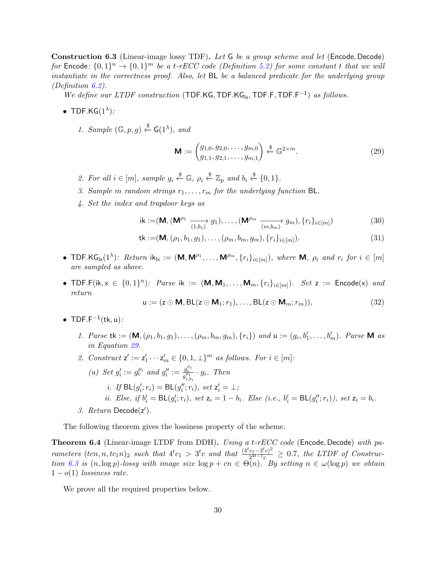<span id="page-29-1"></span>Construction 6.3 (Linear-image lossy TDF). Let G be a group scheme and let (Encode, Decode) for Encode:  $\{0,1\}^n \to \{0,1\}^m$  be a t-rECC code (Definition [5.2\)](#page-16-0) for some constant t that we will instantiate in the correctness proof. Also, let BL be a balanced predicate for the underlying group (Definition [6.2\)](#page-28-2).

We define our LTDF construction (TDF.KG, TDF.KG $_{ls}$ , TDF.F, TDF.F<sup>-1</sup>) as follows.

- TDF.KG $(1^{\lambda})$ :
	- 1. Sample  $(\mathbb{G}, p, g) \stackrel{\$}{\leftarrow} \mathsf{G}(1^{\lambda}),$  and

<span id="page-29-0"></span>
$$
\mathbf{M} := \begin{pmatrix} g_{1,0}, g_{2,0}, \dots, g_{m,0} \\ g_{1,1}, g_{2,1}, \dots, g_{m,1} \end{pmatrix} \xleftarrow{\$} \mathbb{G}^{2 \times m}.
$$
 (29)

- 2. For all  $i \in [m]$ , sample  $g_i \stackrel{\$}{\leftarrow} \mathbb{G}$ ,  $\rho_i \stackrel{\$}{\leftarrow} \mathbb{Z}_p$  and  $b_i \stackrel{\$}{\leftarrow} \{0,1\}$ .
- 3. Sample m random strings  $r_1, \ldots, r_m$  for the underlying function BL.
- 4. Set the index and trapdoor keys as

ik :=
$$
(\mathbf{M}, (\mathbf{M}^{\rho_1} \xrightarrow{(1,b_1)} g_1), \dots, (\mathbf{M}^{\rho_m} \xrightarrow{(m,b_m)} g_m), \{r_i\}_{i \in [m]})
$$
 (30)

tk :=
$$
(\mathbf{M}, (\rho_1, b_1, g_1), \ldots, (\rho_m, b_m, g_m), \{r_i\}_{i \in [m]})
$$
. (31)

- TDF.K $G_{ls}(1^{\lambda})$ : Return  $ik_{ls} := (M, M^{\rho_1}, \ldots, M^{\rho_m}, \{r_i\}_{i \in [m]})$ , where M,  $\rho_i$  and  $r_i$  for  $i \in [m]$ are sampled as above.
- TDF.F(ik,  $x \in \{0,1\}^n$ ): Parse ik :=  $(M, M_1, \ldots, M_m, \{r_i\}_{i \in [m]})$ . Set  $z$  := Encode(x) and return

$$
\mathsf{u} := (\mathsf{z} \odot \mathsf{M}, \mathsf{BL}(\mathsf{z} \odot \mathsf{M}_1; r_1), \dots, \mathsf{BL}(\mathsf{z} \odot \mathsf{M}_m; r_m)),\tag{32}
$$

- TDF.F<sup> $-1$ </sup>(tk, u):
	- 1. Parse tk :=  $(\mathbf{M}, (\rho_1, b_1, g_1), \ldots, (\rho_m, b_m, g_m), \{r_i\})$  and  $\mathbf{u} := (g_c, b'_1, \ldots, b'_m)$ . Parse M as in Equation [29.](#page-29-0)
	- 2. Construct  $\mathsf{z}':=\mathsf{z}'_1\cdots\mathsf{z}'_m\in\{0,1,\perp\}^m$  as follows. For  $i\in[m]$ :
	- (a) Set  $g'_i := g_c^{\rho_i}$  and  $g''_i := \frac{g_c^{\rho_i}}{g_{i,b_i}^{\rho_i}} \cdot g_i$ . Then *i.* If  $\text{BL}(g'_i; r_i) = \text{BL}(g''_i; r_i)$ , set  $z'_i = \bot$ ; *ii.* Else, if  $b'_i = BL(g'_i; r_i)$ , set  $z_i = 1 - b_i$ . Else (i.e.,  $b'_i = BL(g''_i; r_i)$ ), set  $z_i = b_i$ . 3. Return Decode(z').

The following theorem gives the lossiness property of the scheme.

**Theorem 6.4** (Linear-image LTDF from DDH). Using a t-rECC code (Encode, Decode) with parameters  $(tcn, n, tc_1n)_2$  such that  $4^tc_1 > 3^tc$  and that  $\frac{(4^tc_1-3^tc)^2}{2^{4t-1}c}$  $\frac{c_1 - 3^c c_1^2}{2^{4t-1}c} \geq 0.7$ , the LTDF of Construc-tion [6.3](#page-29-1) is  $(n, \log p)$ -lossy with image size  $\log p + cn \in \Theta(n)$ . By setting  $n \in \omega(\log p)$  we obtain  $1 - o(1)$  lossiness rate.

We prove all the required properties below.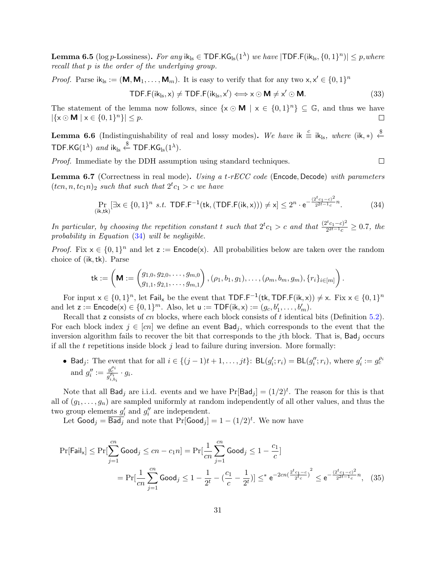**Lemma 6.5** (log p-Lossiness). For any i $\mathsf{k}_{\text{ls}} \in \textsf{TDF.KG}_{\text{ls}}(1^{\lambda})$  we have  $|\textsf{TDF.F}(\textsf{ik}_{\text{ls}},\{0,1\}^{n})| \leq p, where$ recall that p is the order of the underlying group.

*Proof.* Parse  $ik_{ls} := (M, M_1, \ldots, M_m)$ . It is easy to verify that for any two  $x, x' \in \{0, 1\}^n$ 

$$
\mathsf{TDF.F}(ik_{\mathrm{ls}}, x) \neq \mathsf{TDF.F}(ik_{\mathrm{ls}}, x') \Longleftrightarrow x \odot \mathsf{M} \neq x' \odot \mathsf{M}.\tag{33}
$$

 $\Box$ 

The statement of the lemma now follows, since  $\{x \odot \mathbf{M} \mid x \in \{0,1\}^n\} \subseteq \mathbb{G}$ , and thus we have  $|\{x \odot \mathbf{M} \mid x \in \{0,1\}^n\}| \leq p.$  $\Box$ 

**Lemma 6.6** (Indistinguishability of real and lossy modes). We have ik  $\stackrel{c}{\equiv}$  ik<sub>ls</sub>, where (ik, \*)  $\stackrel{\$}{\leftarrow}$ TDF.KG $(1^{\lambda})$  and ik<sub>ls</sub>  $\stackrel{\$}{\leftarrow}$  TDF.KG<sub>ls</sub> $(1^{\lambda})$ .

Proof. Immediate by the DDH assumption using standard techniques.

**Lemma 6.7** (Correctness in real mode). Using a t-rECC code (Encode, Decode) with parameters  $(tcn, n, tc_1n)_2$  such that such that  $2^tc_1 > c$  we have

<span id="page-30-0"></span>
$$
\Pr_{(\mathbf{i}\mathbf{k},\mathbf{tk})}[\exists \mathbf{x} \in \{0,1\}^n \text{ s.t. } \mathsf{TDF.F^{-1}}(\mathsf{tk}, (\mathsf{TDF.F}(\mathsf{ik}, \mathbf{x}))) \neq \mathbf{x}] \leq 2^n \cdot e^{-\frac{(2^t c_1 - c)^2}{2^{2t - 1}c}n}.\tag{34}
$$

In particular, by choosing the repetition constant t such that  $2^t c_1 > c$  and that  $\frac{(2^t c_1 - c)^2}{2^{2t-1} c}$  $\frac{C^c c_1 - c)^2}{2^{2t-1}c} \ge 0.7$ , the probability in Equation [\(34\)](#page-30-0) will be negligible.

*Proof.* Fix  $x \in \{0,1\}^n$  and let  $z :=$  **Encode**(x). All probabilities below are taken over the random choice of (ik,tk). Parse

$$
{\sf tk}:=\left({\sf M}:=\begin{pmatrix}g_{1,0},g_{2,0},\ldots,g_{m,0}\\ g_{1,1},g_{2,1},\ldots,g_{m,1}\end{pmatrix},(\rho_1,b_1,g_1),\ldots,(\rho_m,b_m,g_m),\{r_i\}_{i\in[m]}\right).
$$

For input  $x \in \{0,1\}^n$ , let Fail<sub>x</sub> be the event that TDF.F<sup>-1</sup>(tk, TDF.F(ik, x))  $\neq$  x. Fix  $x \in \{0,1\}^n$ and let  $z := \textsf{Encode}(x) \in \{0, 1\}^m$ . Also, let  $u := \textsf{TOP}(ik, x) := (g_c, b'_1, \ldots, b'_m)$ .

Recall that z consists of cn blocks, where each block consists of t identical bits (Definition [5.2\)](#page-16-0). For each block index  $j \in [cn]$  we define an event  $Bad_j$ , which corresponds to the event that the inversion algorithm fails to recover the bit that corresponds to the jth block. That is,  $Bad<sub>j</sub>$  occurs if all the t repetitions inside block  $j$  lead to failure during inversion. More formally:

• Bad<sub>j</sub>: The event that for all  $i \in \{(j-1)t+1,\ldots,jt\}$ : BL $(g'_i;r_i) = BL(g''_i;r_i)$ , where  $g'_i := g_c^{\rho_i}$ and  $g_i'' := \frac{g_c^{\rho_i}}{g_{i,b_i}^{\rho_i}} \cdot g_i$ .

Note that all Bad<sub>j</sub> are i.i.d. events and we have  $Pr[Bad_j] = (1/2)^t$ . The reason for this is that all of  $(g_1, \ldots, g_n)$  are sampled uniformly at random independently of all other values, and thus the two group elements  $g_i'$  and  $g_i''$  are independent.

Let  $\textsf{Good}_j = \overline{\textsf{Bad}_j}$  and note that  $\Pr[\textsf{Good}_j] = 1 - (1/2)^t$ . We now have

$$
\Pr[\mathsf{Fall}_{x}] \le \Pr[\sum_{j=1}^{cn} \mathsf{Good}_{j} \le cn - c_{1}n] = \Pr[\frac{1}{cn} \sum_{j=1}^{cn} \mathsf{Good}_{j} \le 1 - \frac{c_{1}}{c}]
$$
\n
$$
= \Pr[\frac{1}{cn} \sum_{j=1}^{cn} \mathsf{Good}_{j} \le 1 - \frac{1}{2^{t}} - (\frac{c_{1}}{c} - \frac{1}{2^{t}})] \le \epsilon e^{-2cn(\frac{2^{t}c_{1} - c}{2^{t}c})^{2}} \le e^{-\frac{(2^{t}c_{1} - c)^{2}}{2^{2t-1}c}n}, \quad (35)
$$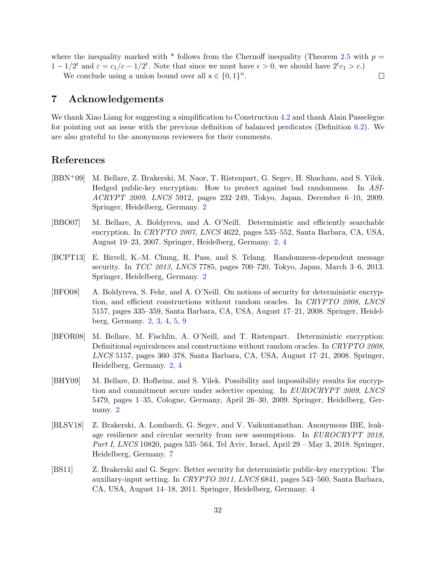where the inequality marked with  $*$  follows from the Chernoff inequality (Theorem [2.5](#page-8-2) with  $p =$  $1 - 1/2^t$  and  $\varepsilon = c_1/c - 1/2^t$ . Note that since we must have  $\epsilon > 0$ , we should have  $2^t c_1 > c$ .)

 $\Box$ 

We conclude using a union bound over all  $x \in \{0,1\}^n$ .

## 7 Acknowledgements

We thank Xiao Liang for suggesting a simplification to Construction [4.2](#page-11-2) and thank Alain Passelègue for pointing out an issue with the previous definition of balanced perdicates (Definition [6.2\)](#page-28-2). We are also grateful to the anonymous reviewers for their comments.

## References

- <span id="page-31-4"></span>[BBN+09] M. Bellare, Z. Brakerski, M. Naor, T. Ristenpart, G. Segev, H. Shacham, and S. Yilek. Hedged public-key encryption: How to protect against bad randomness. In ASI-ACRYPT 2009, LNCS 5912, pages 232–249, Tokyo, Japan, December 6–10, 2009. Springer, Heidelberg, Germany. [2](#page-1-1)
- <span id="page-31-0"></span>[BBO07] M. Bellare, A. Boldyreva, and A. O'Neill. Deterministic and efficiently searchable encryption. In CRYPTO 2007, LNCS 4622, pages 535–552, Santa Barbara, CA, USA, August 19–23, 2007. Springer, Heidelberg, Germany. [2,](#page-1-1) [4](#page-3-2)
- <span id="page-31-5"></span>[BCPT13] E. Birrell, K.-M. Chung, R. Pass, and S. Telang. Randomness-dependent message security. In TCC 2013, LNCS 7785, pages 700–720, Tokyo, Japan, March 3–6, 2013. Springer, Heidelberg, Germany. [2](#page-1-1)
- <span id="page-31-2"></span>[BFO08] A. Boldyreva, S. Fehr, and A. O'Neill. On notions of security for deterministic encryption, and efficient constructions without random oracles. In CRYPTO 2008, LNCS 5157, pages 335–359, Santa Barbara, CA, USA, August 17–21, 2008. Springer, Heidelberg, Germany. [2,](#page-1-1) [3,](#page-2-1) [4,](#page-3-2) [5,](#page-4-1) [9](#page-8-3)
- <span id="page-31-1"></span>[BFOR08] M. Bellare, M. Fischlin, A. O'Neill, and T. Ristenpart. Deterministic encryption: Definitional equivalences and constructions without random oracles. In CRYPTO 2008, LNCS 5157, pages 360–378, Santa Barbara, CA, USA, August 17–21, 2008. Springer, Heidelberg, Germany. [2,](#page-1-1) [4](#page-3-2)
- <span id="page-31-3"></span>[BHY09] M. Bellare, D. Hofheinz, and S. Yilek. Possibility and impossibility results for encryption and commitment secure under selective opening. In EUROCRYPT 2009, LNCS 5479, pages 1–35, Cologne, Germany, April 26–30, 2009. Springer, Heidelberg, Germany. [2](#page-1-1)
- <span id="page-31-7"></span>[BLSV18] Z. Brakerski, A. Lombardi, G. Segev, and V. Vaikuntanathan. Anonymous IBE, leakage resilience and circular security from new assumptions. In EUROCRYPT 2018, Part I, LNCS 10820, pages 535–564, Tel Aviv, Israel, April 29 – May 3, 2018. Springer, Heidelberg, Germany. [7](#page-6-0)
- <span id="page-31-6"></span>[BS11] Z. Brakerski and G. Segev. Better security for deterministic public-key encryption: The auxiliary-input setting. In CRYPTO 2011, LNCS 6841, pages 543–560, Santa Barbara, CA, USA, August 14–18, 2011. Springer, Heidelberg, Germany. [4](#page-3-2)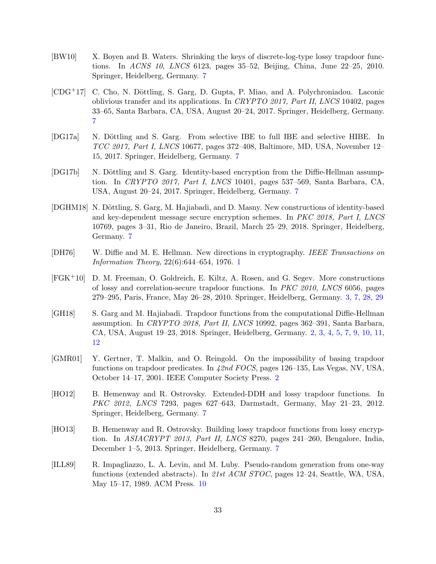- <span id="page-32-10"></span>[BW10] X. Boyen and B. Waters. Shrinking the keys of discrete-log-type lossy trapdoor functions. In ACNS 10, LNCS 6123, pages 35–52, Beijing, China, June 22–25, 2010. Springer, Heidelberg, Germany. [7](#page-6-0)
- <span id="page-32-4"></span> $[CDG<sup>+</sup>17]$  C. Cho, N. Döttling, S. Garg, D. Gupta, P. Miao, and A. Polychroniadou. Laconic oblivious transfer and its applications. In CRYPTO 2017, Part II, LNCS 10402, pages 33–65, Santa Barbara, CA, USA, August 20–24, 2017. Springer, Heidelberg, Germany. [7](#page-6-0)
- <span id="page-32-6"></span>[DG17a] N. Döttling and S. Garg. From selective IBE to full IBE and selective HIBE. In TCC 2017, Part I, LNCS 10677, pages 372–408, Baltimore, MD, USA, November 12– 15, 2017. Springer, Heidelberg, Germany. [7](#page-6-0)
- <span id="page-32-5"></span>[DG17b] N. Döttling and S. Garg. Identity-based encryption from the Diffie-Hellman assumption. In CRYPTO 2017, Part I, LNCS 10401, pages 537–569, Santa Barbara, CA, USA, August 20–24, 2017. Springer, Heidelberg, Germany. [7](#page-6-0)
- <span id="page-32-7"></span>[DGHM18] N. Döttling, S. Garg, M. Hajiabadi, and D. Masny. New constructions of identity-based and key-dependent message secure encryption schemes. In PKC 2018, Part I, LNCS 10769, pages 3–31, Rio de Janeiro, Brazil, March 25–29, 2018. Springer, Heidelberg, Germany. [7](#page-6-0)
- <span id="page-32-0"></span>[DH76] W. Diffie and M. E. Hellman. New directions in cryptography. IEEE Transactions on Information Theory, 22(6):644–654, 1976. [1](#page-0-0)
- <span id="page-32-3"></span>[FGK+10] D. M. Freeman, O. Goldreich, E. Kiltz, A. Rosen, and G. Segev. More constructions of lossy and correlation-secure trapdoor functions. In PKC 2010, LNCS 6056, pages 279–295, Paris, France, May 26–28, 2010. Springer, Heidelberg, Germany. [3,](#page-2-1) [7,](#page-6-0) [28,](#page-27-1) [29](#page-28-3)
- <span id="page-32-2"></span>[GH18] S. Garg and M. Hajiabadi. Trapdoor functions from the computational Diffie-Hellman assumption. In CRYPTO 2018, Part II, LNCS 10992, pages 362–391, Santa Barbara, CA, USA, August 19–23, 2018. Springer, Heidelberg, Germany. [2,](#page-1-1) [3,](#page-2-1) [4,](#page-3-2) [5,](#page-4-1) [7,](#page-6-0) [9,](#page-8-3) [10,](#page-9-4) [11,](#page-10-6) [12](#page-11-3)
- <span id="page-32-1"></span>[GMR01] Y. Gertner, T. Malkin, and O. Reingold. On the impossibility of basing trapdoor functions on trapdoor predicates. In 42nd FOCS, pages 126–135, Las Vegas, NV, USA, October 14–17, 2001. IEEE Computer Society Press. [2](#page-1-1)
- <span id="page-32-8"></span>[HO12] B. Hemenway and R. Ostrovsky. Extended-DDH and lossy trapdoor functions. In PKC 2012, LNCS 7293, pages 627–643, Darmstadt, Germany, May 21–23, 2012. Springer, Heidelberg, Germany. [7](#page-6-0)
- <span id="page-32-9"></span>[HO13] B. Hemenway and R. Ostrovsky. Building lossy trapdoor functions from lossy encryption. In ASIACRYPT 2013, Part II, LNCS 8270, pages 241–260, Bengalore, India, December 1–5, 2013. Springer, Heidelberg, Germany. [7](#page-6-0)
- <span id="page-32-11"></span>[ILL89] R. Impagliazzo, L. A. Levin, and M. Luby. Pseudo-random generation from one-way functions (extended abstracts). In 21st ACM STOC, pages 12–24, Seattle, WA, USA, May 15–17, 1989. ACM Press. [10](#page-9-4)